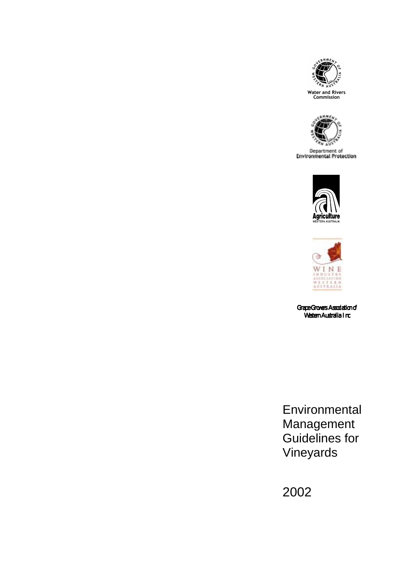



**Department of**<br>Environmental Protection





*Grape Growers Association of of Western Australia Inc*

**Environmental** Management Guidelines for Vineyards

2002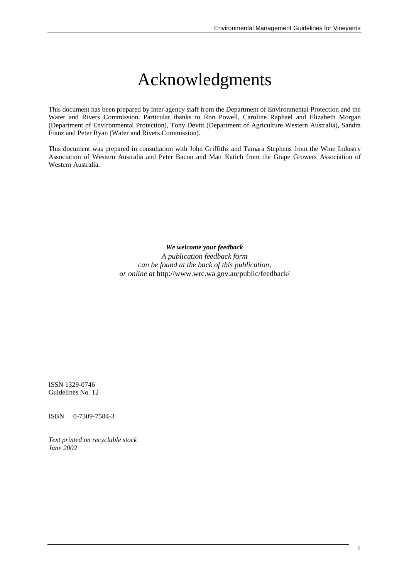# Acknowledgments

This document has been prepared by inter agency staff from the Department of Environmental Protection and the Water and Rivers Commission. Particular thanks to Ron Powell, Caroline Raphael and Elizabeth Morgan (Department of Environmental Protection), Tony Devitt (Department of Agriculture Western Australia), Sandra Franz and Peter Ryan (Water and Rivers Commission).

This document was prepared in consultation with John Griffiths and Tamara Stephens from the Wine Industry Association of Western Australia and Peter Bacon and Matt Katich from the Grape Growers Association of Western Australia.

*We welcome your feedback*

*A publication feedback form can be found at the back of this publication, or online at* http://www.wrc.wa.gov.au/public/feedback/

ISSN 1329-0746 Guidelines No. 12

ISBN 0-7309-7584-3

*Text printed on recyclable stock June 2002*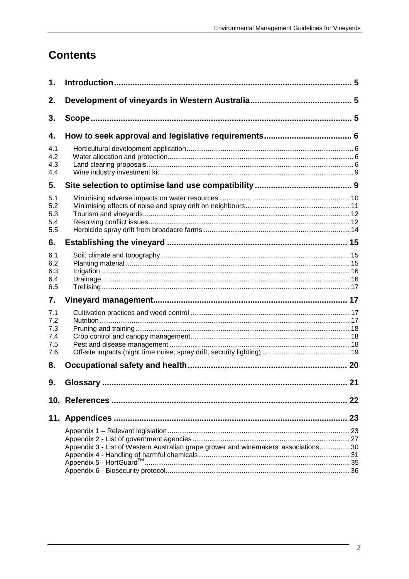## **Contents**

| 1.                                     |                                                                                      |    |
|----------------------------------------|--------------------------------------------------------------------------------------|----|
| 2.                                     |                                                                                      |    |
| 3.                                     |                                                                                      |    |
| 4.                                     |                                                                                      |    |
| 4.1<br>4.2<br>4.3<br>4.4               |                                                                                      |    |
| 5.                                     |                                                                                      |    |
| 5.1<br>5.2<br>5.3<br>5.4<br>5.5        |                                                                                      |    |
| 6.                                     |                                                                                      |    |
| 6.1<br>6.2<br>6.3<br>6.4<br>6.5        |                                                                                      |    |
| 7.                                     |                                                                                      |    |
| 7.1<br>7.2<br>7.3<br>7.4<br>7.5<br>7.6 |                                                                                      |    |
| 8.                                     |                                                                                      |    |
| 9.                                     | <b>Glossary</b>                                                                      | 21 |
|                                        |                                                                                      | 22 |
|                                        | 11. Appendices ……………………………………………………………………………………… 23                                  |    |
|                                        | Appendix 3 - List of Western Australian grape grower and winemakers' associations 30 |    |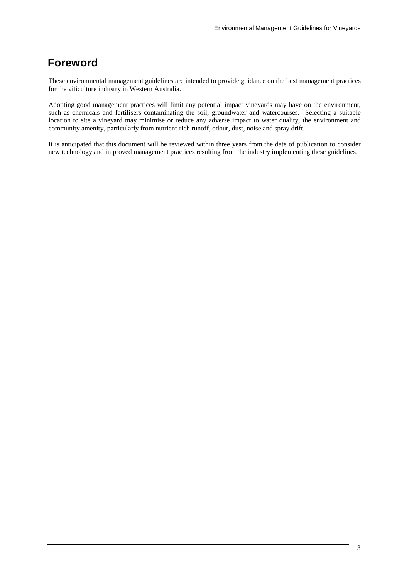## **Foreword**

These environmental management guidelines are intended to provide guidance on the best management practices for the viticulture industry in Western Australia.

Adopting good management practices will limit any potential impact vineyards may have on the environment, such as chemicals and fertilisers contaminating the soil, groundwater and watercourses. Selecting a suitable location to site a vineyard may minimise or reduce any adverse impact to water quality, the environment and community amenity, particularly from nutrient-rich runoff, odour, dust, noise and spray drift.

It is anticipated that this document will be reviewed within three years from the date of publication to consider new technology and improved management practices resulting from the industry implementing these guidelines.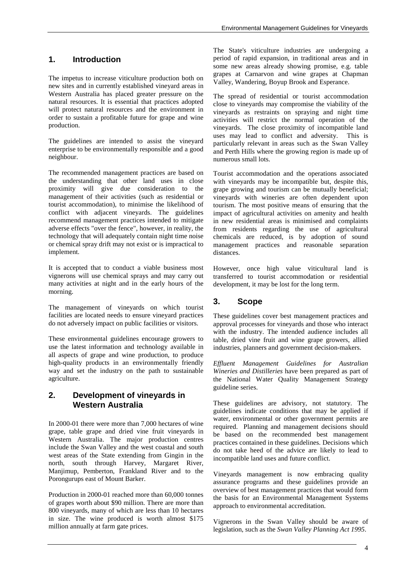## **1. Introduction**

The impetus to increase viticulture production both on new sites and in currently established vineyard areas in Western Australia has placed greater pressure on the natural resources. It is essential that practices adopted will protect natural resources and the environment in order to sustain a profitable future for grape and wine production.

The guidelines are intended to assist the vineyard enterprise to be environmentally responsible and a good neighbour.

The recommended management practices are based on the understanding that other land uses in close proximity will give due consideration to the management of their activities (such as residential or tourist accommodation), to minimise the likelihood of conflict with adjacent vineyards. The guidelines recommend management practices intended to mitigate adverse effects "over the fence", however, in reality, the technology that will adequately contain night time noise or chemical spray drift may not exist or is impractical to implement.

It is accepted that to conduct a viable business most vignerons will use chemical sprays and may carry out many activities at night and in the early hours of the morning.

The management of vineyards on which tourist facilities are located needs to ensure vineyard practices do not adversely impact on public facilities or visitors.

These environmental guidelines encourage growers to use the latest information and technology available in all aspects of grape and wine production, to produce high-quality products in an environmentally friendly way and set the industry on the path to sustainable agriculture.

## **2. Development of vineyards in Western Australia**

In 2000-01 there were more than 7,000 hectares of wine grape, table grape and dried vine fruit vineyards in Western Australia. The major production centres include the Swan Valley and the west coastal and south west areas of the State extending from Gingin in the north, south through Harvey, Margaret River, Manjimup, Pemberton, Frankland River and to the Porongurups east of Mount Barker.

Production in 2000-01 reached more than 60,000 tonnes of grapes worth about \$90 million. There are more than 800 vineyards, many of which are less than 10 hectares in size. The wine produced is worth almost \$175 million annually at farm gate prices.

The State's viticulture industries are undergoing a period of rapid expansion, in traditional areas and in some new areas already showing promise, e.g. table grapes at Carnarvon and wine grapes at Chapman Valley, Wandering, Boyup Brook and Esperance.

The spread of residential or tourist accommodation close to vineyards may compromise the viability of the vineyards as restraints on spraying and night time activities will restrict the normal operation of the vineyards. The close proximity of incompatible land uses may lead to conflict and adversity. This is particularly relevant in areas such as the Swan Valley and Perth Hills where the growing region is made up of numerous small lots.

Tourist accommodation and the operations associated with vineyards may be incompatible but, despite this, grape growing and tourism can be mutually beneficial; vineyards with wineries are often dependent upon tourism. The most positive means of ensuring that the impact of agricultural activities on amenity and health in new residential areas is minimised and complaints from residents regarding the use of agricultural chemicals are reduced, is by adoption of sound management practices and reasonable separation distances.

However, once high value viticultural land is transferred to tourist accommodation or residential development, it may be lost for the long term.

## **3. Scope**

These guidelines cover best management practices and approval processes for vineyards and those who interact with the industry. The intended audience includes all table, dried vine fruit and wine grape growers, allied industries, planners and government decision-makers.

*Effluent Management Guidelines for Australian Wineries and Distilleries* have been prepared as part of the National Water Quality Management Strategy guideline series.

These guidelines are advisory, not statutory. The guidelines indicate conditions that may be applied if water, environmental or other government permits are required. Planning and management decisions should be based on the recommended best management practices contained in these guidelines. Decisions which do not take heed of the advice are likely to lead to incompatible land uses and future conflict.

Vineyards management is now embracing quality assurance programs and these guidelines provide an overview of best management practices that would form the basis for an Environmental Management Systems approach to environmental accreditation.

Vignerons in the Swan Valley should be aware of legislation, such as the *Swan Valley Planning Act 1995*.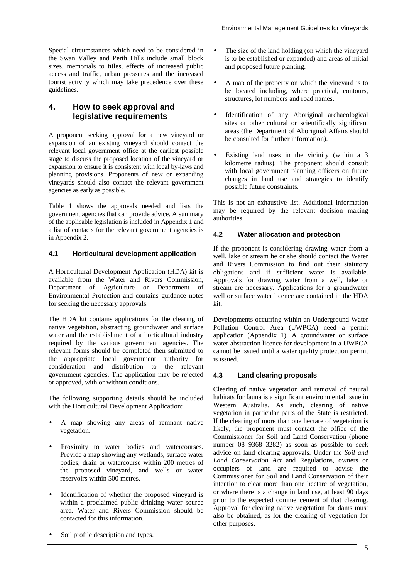Special circumstances which need to be considered in the Swan Valley and Perth Hills include small block sizes, memorials to titles, effects of increased public access and traffic, urban pressures and the increased tourist activity which may take precedence over these guidelines.

## **4. How to seek approval and legislative requirements**

A proponent seeking approval for a new vineyard or expansion of an existing vineyard should contact the relevant local government office at the earliest possible stage to discuss the proposed location of the vineyard or expansion to ensure it is consistent with local by-laws and planning provisions. Proponents of new or expanding vineyards should also contact the relevant government agencies as early as possible.

Table 1 shows the approvals needed and lists the government agencies that can provide advice. A summary of the applicable legislation is included in Appendix 1 and a list of contacts for the relevant government agencies is in Appendix 2.

### **4.1 Horticultural development application**

A Horticultural Development Application (HDA) kit is available from the Water and Rivers Commission, Department of Agriculture or Department of Environmental Protection and contains guidance notes for seeking the necessary approvals.

The HDA kit contains applications for the clearing of native vegetation, abstracting groundwater and surface water and the establishment of a horticultural industry required by the various government agencies. The relevant forms should be completed then submitted to the appropriate local government authority for consideration and distribution to the relevant government agencies. The application may be rejected or approved, with or without conditions.

The following supporting details should be included with the Horticultural Development Application:

- A map showing any areas of remnant native vegetation.
- Proximity to water bodies and watercourses. Provide a map showing any wetlands, surface water bodies, drain or watercourse within 200 metres of the proposed vineyard, and wells or water reservoirs within 500 metres.
- Identification of whether the proposed vineyard is within a proclaimed public drinking water source area. Water and Rivers Commission should be contacted for this information.
- Soil profile description and types.
- The size of the land holding (on which the vineyard is to be established or expanded) and areas of initial and proposed future planting.
- A map of the property on which the vineyard is to be located including, where practical, contours, structures, lot numbers and road names.
- Identification of any Aboriginal archaeological sites or other cultural or scientifically significant areas (the Department of Aboriginal Affairs should be consulted for further information).
- Existing land uses in the vicinity (within a 3 kilometre radius). The proponent should consult with local government planning officers on future changes in land use and strategies to identify possible future constraints.

This is not an exhaustive list. Additional information may be required by the relevant decision making authorities.

## **4.2 Water allocation and protection**

If the proponent is considering drawing water from a well, lake or stream he or she should contact the Water and Rivers Commission to find out their statutory obligations and if sufficient water is available. Approvals for drawing water from a well, lake or stream are necessary. Applications for a groundwater well or surface water licence are contained in the HDA kit.

Developments occurring within an Underground Water Pollution Control Area (UWPCA) need a permit application (Appendix 1). A groundwater or surface water abstraction licence for development in a UWPCA cannot be issued until a water quality protection permit is issued.

### **4.3 Land clearing proposals**

Clearing of native vegetation and removal of natural habitats for fauna is a significant environmental issue in Western Australia. As such, clearing of native vegetation in particular parts of the State is restricted. If the clearing of more than one hectare of vegetation is likely, the proponent must contact the office of the Commissioner for Soil and Land Conservation (phone number 08 9368 3282) as soon as possible to seek advice on land clearing approvals. Under the *Soil and Land Conservation Act* and Regulations, owners or occupiers of land are required to advise the Commissioner for Soil and Land Conservation of their intention to clear more than one hectare of vegetation, or where there is a change in land use, at least 90 days prior to the expected commencement of that clearing. Approval for clearing native vegetation for dams must also be obtained, as for the clearing of vegetation for other purposes.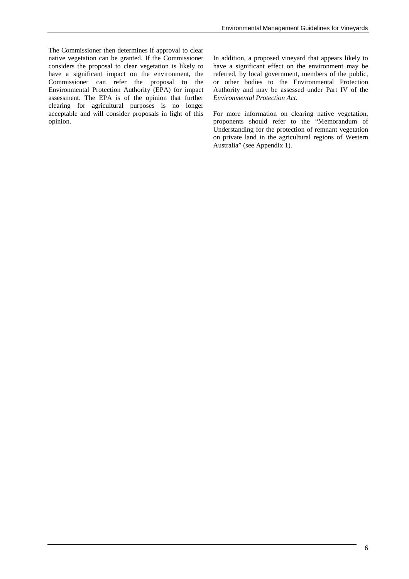The Commissioner then determines if approval to clear native vegetation can be granted. If the Commissioner considers the proposal to clear vegetation is likely to have a significant impact on the environment, the Commissioner can refer the proposal to the Environmental Protection Authority (EPA) for impact assessment. The EPA is of the opinion that further clearing for agricultural purposes is no longer acceptable and will consider proposals in light of this opinion.

In addition, a proposed vineyard that appears likely to have a significant effect on the environment may be referred, by local government, members of the public, or other bodies to the Environmental Protection Authority and may be assessed under Part IV of the *Environmental Protection Act*.

For more information on clearing native vegetation, proponents should refer to the "Memorandum of Understanding for the protection of remnant vegetation on private land in the agricultural regions of Western Australia" (see Appendix 1).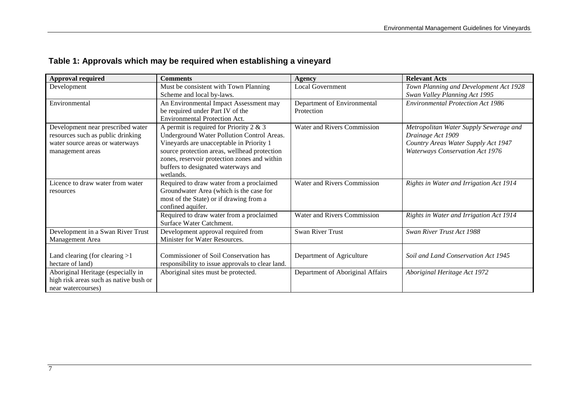| <b>Approval required</b>               | <b>Comments</b>                                  | Agency                             | <b>Relevant Acts</b>                     |
|----------------------------------------|--------------------------------------------------|------------------------------------|------------------------------------------|
| Development                            | Must be consistent with Town Planning            | <b>Local Government</b>            | Town Planning and Development Act 1928   |
|                                        | Scheme and local by-laws.                        |                                    | Swan Valley Planning Act 1995            |
| Environmental                          | An Environmental Impact Assessment may           | Department of Environmental        | <b>Environmental Protection Act 1986</b> |
|                                        | be required under Part IV of the                 | Protection                         |                                          |
|                                        | <b>Environmental Protection Act.</b>             |                                    |                                          |
| Development near prescribed water      | A permit is required for Priority 2 $& 3$        | <b>Water and Rivers Commission</b> | Metropolitan Water Supply Sewerage and   |
| resources such as public drinking      | Underground Water Pollution Control Areas.       |                                    | Drainage Act 1909                        |
| water source areas or waterways        | Vineyards are unacceptable in Priority 1         |                                    | Country Areas Water Supply Act 1947      |
| management areas                       | source protection areas, wellhead protection     |                                    | Waterways Conservation Act 1976          |
|                                        | zones, reservoir protection zones and within     |                                    |                                          |
|                                        | buffers to designated waterways and              |                                    |                                          |
|                                        | wetlands.                                        |                                    |                                          |
| Licence to draw water from water       | Required to draw water from a proclaimed         | <b>Water and Rivers Commission</b> | Rights in Water and Irrigation Act 1914  |
| resources                              | Groundwater Area (which is the case for          |                                    |                                          |
|                                        | most of the State) or if drawing from a          |                                    |                                          |
|                                        | confined aquifer.                                |                                    |                                          |
|                                        | Required to draw water from a proclaimed         | Water and Rivers Commission        | Rights in Water and Irrigation Act 1914  |
|                                        | Surface Water Catchment.                         |                                    |                                          |
| Development in a Swan River Trust      | Development approval required from               | <b>Swan River Trust</b>            | Swan River Trust Act 1988                |
| Management Area                        | Minister for Water Resources.                    |                                    |                                          |
|                                        |                                                  |                                    |                                          |
| Land clearing (for clearing $>1$       | Commissioner of Soil Conservation has            | Department of Agriculture          | Soil and Land Conservation Act 1945      |
| hectare of land)                       | responsibility to issue approvals to clear land. |                                    |                                          |
| Aboriginal Heritage (especially in     | Aboriginal sites must be protected.              | Department of Aboriginal Affairs   | Aboriginal Heritage Act 1972             |
| high risk areas such as native bush or |                                                  |                                    |                                          |
| near watercourses)                     |                                                  |                                    |                                          |

## **Table 1: Approvals which may be required when establishing a vineyard**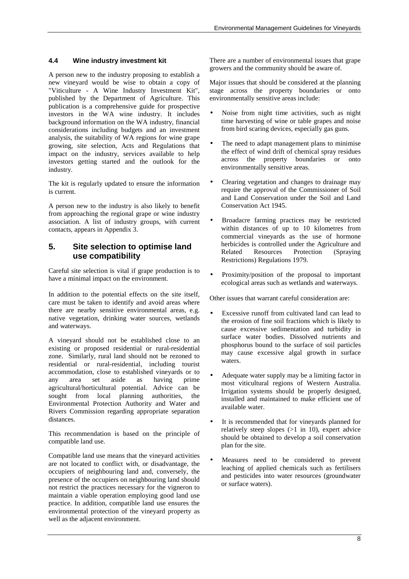### **4.4 Wine industry investment kit**

A person new to the industry proposing to establish a new vineyard would be wise to obtain a copy of "Viticulture - A Wine Industry Investment Kit", published by the Department of Agriculture. This publication is a comprehensive guide for prospective investors in the WA wine industry. It includes background information on the WA industry, financial considerations including budgets and an investment analysis, the suitability of WA regions for wine grape growing, site selection, Acts and Regulations that impact on the industry, services available to help investors getting started and the outlook for the industry.

The kit is regularly updated to ensure the information is current.

A person new to the industry is also likely to benefit from approaching the regional grape or wine industry association. A list of industry groups, with current contacts, appears in Appendix 3.

## **5. Site selection to optimise land use compatibility**

Careful site selection is vital if grape production is to have a minimal impact on the environment.

In addition to the potential effects on the site itself, care must be taken to identify and avoid areas where there are nearby sensitive environmental areas, e.g. native vegetation, drinking water sources, wetlands and waterways.

A vineyard should not be established close to an existing or proposed residential or rural-residential zone. Similarly, rural land should not be rezoned to residential or rural-residential, including tourist accommodation, close to established vineyards or to any area set aside as having prime agricultural/horticultural potential. Advice can be sought from local planning authorities, the Environmental Protection Authority and Water and Rivers Commission regarding appropriate separation distances.

This recommendation is based on the principle of compatible land use.

Compatible land use means that the vineyard activities are not located to conflict with, or disadvantage, the occupiers of neighbouring land and, conversely, the presence of the occupiers on neighbouring land should not restrict the practices necessary for the vigneron to maintain a viable operation employing good land use practice. In addition, compatible land use ensures the environmental protection of the vineyard property as well as the adjacent environment.

There are a number of environmental issues that grape growers and the community should be aware of.

Major issues that should be considered at the planning stage across the property boundaries or onto environmentally sensitive areas include:

- Noise from night time activities, such as night time harvesting of wine or table grapes and noise from bird scaring devices, especially gas guns.
- The need to adapt management plans to minimise the effect of wind drift of chemical spray residues across the property boundaries or onto environmentally sensitive areas.
- Clearing vegetation and changes to drainage may require the approval of the Commissioner of Soil and Land Conservation under the Soil and Land Conservation Act 1945.
- Broadacre farming practices may be restricted within distances of up to 10 kilometres from commercial vineyards as the use of hormone herbicides is controlled under the Agriculture and Related Resources Protection (Spraying Restrictions) Regulations 1979.
- Proximity/position of the proposal to important ecological areas such as wetlands and waterways.

Other issues that warrant careful consideration are:

- Excessive runoff from cultivated land can lead to the erosion of fine soil fractions which is likely to cause excessive sedimentation and turbidity in surface water bodies. Dissolved nutrients and phosphorus bound to the surface of soil particles may cause excessive algal growth in surface waters.
- Adequate water supply may be a limiting factor in most viticultural regions of Western Australia. Irrigation systems should be properly designed, installed and maintained to make efficient use of available water.
- It is recommended that for vineyards planned for relatively steep slopes (>1 in 10), expert advice should be obtained to develop a soil conservation plan for the site.
- Measures need to be considered to prevent leaching of applied chemicals such as fertilisers and pesticides into water resources (groundwater or surface waters).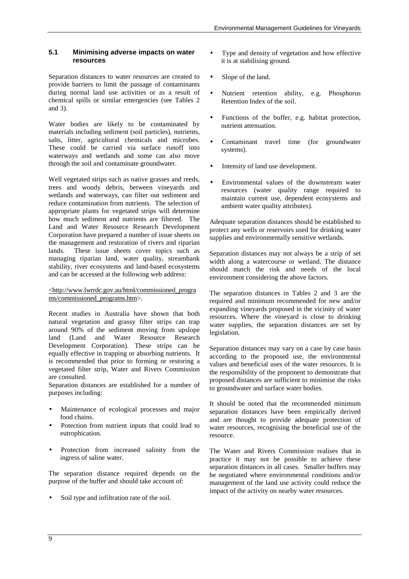#### **5.1 Minimising adverse impacts on water resources**

Separation distances to water resources are created to provide barriers to limit the passage of contaminants during normal land use activities or as a result of chemical spills or similar emergencies (see Tables 2 and 3).

Water bodies are likely to be contaminated by materials including sediment (soil particles), nutrients, salts, litter, agricultural chemicals and microbes. These could be carried via surface runoff into waterways and wetlands and some can also move through the soil and contaminate groundwater.

Well vegetated strips such as native grasses and reeds, trees and woody debris, between vineyards and wetlands and waterways, can filter out sediment and reduce contamination from nutrients. The selection of appropriate plants for vegetated strips will determine how much sediment and nutrients are filtered. The Land and Water Resource Research Development Corporation have prepared a number of issue sheets on the management and restoration of rivers and riparian lands. These issue sheets cover topics such as managing riparian land, water quality, streambank stability, river ecosystems and land-based ecosystems and can be accessed at the following web address:

#### <http://www.lwrrdc.gov.au/html/commissioned\_progra ms/commissioned\_programs.htm>.

Recent studies in Australia have shown that both natural vegetation and grassy filter strips can trap around 90% of the sediment moving from upslope land (Land and Water Resource Research Development Corporation). These strips can be equally effective in trapping or absorbing nutrients. It is recommended that prior to forming or restoring a vegetated filter strip, Water and Rivers Commission are consulted.

Separation distances are established for a number of purposes including:

- Maintenance of ecological processes and major food chains.
- Potection from nutrient inputs that could lead to eutrophication.
- Protection from increased salinity from the ingress of saline water.

The separation distance required depends on the purpose of the buffer and should take account of:

Soil type and infiltration rate of the soil.

- Type and density of vegetation and how effective it is at stabilising ground.
- Slope of the land.
- Nutrient retention ability, e.g. Phosphorus Retention Index of the soil.
- Functions of the buffer, e.g. habitat protection, nutrient attenuation.
- Contaminant travel time (for groundwater systems).
- Intensity of land use development.
- Environmental values of the downstream water resources (water quality range required to maintain current use, dependent ecosystems and ambient water quality attributes).

Adequate separation distances should be established to protect any wells or reservoirs used for drinking water supplies and environmentally sensitive wetlands.

Separation distances may not always be a strip of set width along a watercourse or wetland. The distance should match the risk and needs of the local environment considering the above factors.

The separation distances in Tables 2 and 3 are the required and minimum recommended for new and/or expanding vineyards proposed in the vicinity of water resources. Where the vineyard is close to drinking water supplies, the separation distances are set by legislation.

Separation distances may vary on a case by case basis according to the proposed use, the environmental values and beneficial uses of the water resources. It is the responsibility of the proponent to demonstrate that proposed distances are sufficient to minimise the risks to groundwater and surface water bodies.

It should be noted that the recommended minimum separation distances have been empirically derived and are thought to provide adequate protection of water resources, recognising the beneficial use of the resource.

The Water and Rivers Commission realises that in practice it may not be possible to achieve these separation distances in all cases. Smaller buffers may be negotiated where environmental conditions and/or management of the land use activity could reduce the impact of the activity on nearby water resources.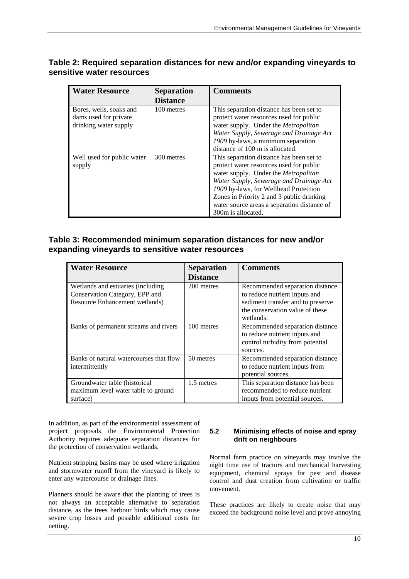| <b>Water Resource</b>      | <b>Separation</b> | <b>Comments</b>                             |
|----------------------------|-------------------|---------------------------------------------|
|                            | <b>Distance</b>   |                                             |
| Bores, wells, soaks and    | 100 metres        | This separation distance has been set to    |
| dams used for private      |                   | protect water resources used for public     |
| drinking water supply      |                   | water supply. Under the Metropolitan        |
|                            |                   | Water Supply, Sewerage and Drainage Act     |
|                            |                   | 1909 by-laws, a minimum separation          |
|                            |                   | distance of 100 m is allocated.             |
| Well used for public water | 300 metres        | This separation distance has been set to    |
| supply                     |                   | protect water resources used for public     |
|                            |                   | water supply. Under the <i>Metropolitan</i> |
|                            |                   | Water Supply, Sewerage and Drainage Act     |
|                            |                   | 1909 by-laws, for Wellhead Protection       |
|                            |                   | Zones in Priority 2 and 3 public drinking   |
|                            |                   | water source areas a separation distance of |
|                            |                   | 300m is allocated.                          |

## **Table 2: Required separation distances for new and/or expanding vineyards to sensitive water resources**

## **Table 3: Recommended minimum separation distances for new and/or expanding vineyards to sensitive water resources**

| <b>Water Resource</b>                                                                                 | <b>Separation</b><br><b>Distance</b> | <b>Comments</b>                                                                                                                                       |
|-------------------------------------------------------------------------------------------------------|--------------------------------------|-------------------------------------------------------------------------------------------------------------------------------------------------------|
| Wetlands and estuaries (including<br>Conservation Category, EPP and<br>Resource Enhancement wetlands) | 200 metres                           | Recommended separation distance<br>to reduce nutrient inputs and<br>sediment transfer and to preserve<br>the conservation value of these<br>wetlands. |
| Banks of permanent streams and rivers                                                                 | 100 metres                           | Recommended separation distance<br>to reduce nutrient inputs and<br>control turbidity from potential<br>sources.                                      |
| Banks of natural watercourses that flow<br>intermittently                                             | 50 metres                            | Recommended separation distance<br>to reduce nutrient inputs from<br>potential sources.                                                               |
| Groundwater table (historical<br>maximum level water table to ground<br>surface)                      | 1.5 metres                           | This separation distance has been<br>recommended to reduce nutrient<br>inputs from potential sources.                                                 |

In addition, as part of the environmental assessment of project proposals the Environmental Protection Authority requires adequate separation distances for the protection of conservation wetlands.

Nutrient stripping basins may be used where irrigation and stormwater runoff from the vineyard is likely to enter any watercourse or drainage lines.

Planners should be aware that the planting of trees is not always an acceptable alternative to separation distance, as the trees harbour birds which may cause severe crop losses and possible additional costs for netting.

### **5.2 Minimising effects of noise and spray drift on neighbours**

Normal farm practice on vineyards may involve the night time use of tractors and mechanical harvesting equipment, chemical sprays for pest and disease control and dust creation from cultivation or traffic movement.

These practices are likely to create noise that may exceed the background noise level and prove annoying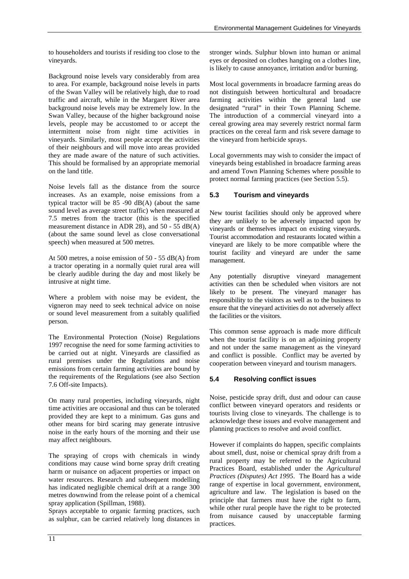to householders and tourists if residing too close to the vineyards.

Background noise levels vary considerably from area to area. For example, background noise levels in parts of the Swan Valley will be relatively high, due to road traffic and aircraft, while in the Margaret River area background noise levels may be extremely low. In the Swan Valley, because of the higher background noise levels, people may be accustomed to or accept the intermittent noise from night time activities in vineyards. Similarly, most people accept the activities of their neighbours and will move into areas provided they are made aware of the nature of such activities. This should be formalised by an appropriate memorial on the land title.

Noise levels fall as the distance from the source increases. As an example, noise emissions from a typical tractor will be  $85 - 90$  dB(A) (about the same sound level as average street traffic) when measured at 7.5 metres from the tractor (this is the specified measurement distance in ADR 28), and  $50 - 55$  dB(A) (about the same sound level as close conversational speech) when measured at 500 metres.

At 500 metres, a noise emission of 50 - 55 dB(A) from a tractor operating in a normally quiet rural area will be clearly audible during the day and most likely be intrusive at night time.

Where a problem with noise may be evident, the vigneron may need to seek technical advice on noise or sound level measurement from a suitably qualified person.

The Environmental Protection (Noise) Regulations 1997 recognise the need for some farming activities to be carried out at night. Vineyards are classified as rural premises under the Regulations and noise emissions from certain farming activities are bound by the requirements of the Regulations (see also Section 7.6 Off-site Impacts).

On many rural properties, including vineyards, night time activities are occasional and thus can be tolerated provided they are kept to a minimum. Gas guns and other means for bird scaring may generate intrusive noise in the early hours of the morning and their use may affect neighbours.

The spraying of crops with chemicals in windy conditions may cause wind borne spray drift creating harm or nuisance on adjacent properties or impact on water resources. Research and subsequent modelling has indicated negligible chemical drift at a range 300 metres downwind from the release point of a chemical spray application (Spillman, 1988).

Sprays acceptable to organic farming practices, such as sulphur, can be carried relatively long distances in

stronger winds. Sulphur blown into human or animal eyes or deposited on clothes hanging on a clothes line, is likely to cause annoyance, irritation and/or burning.

Most local governments in broadacre farming areas do not distinguish between horticultural and broadacre farming activities within the general land use designated "rural" in their Town Planning Scheme. The introduction of a commercial vineyard into a cereal growing area may severely restrict normal farm practices on the cereal farm and risk severe damage to the vineyard from herbicide sprays.

Local governments may wish to consider the impact of vineyards being established in broadacre farming areas and amend Town Planning Schemes where possible to protect normal farming practices (see Section 5.5).

## **5.3 Tourism and vineyards**

New tourist facilities should only be approved where they are unlikely to be adversely impacted upon by vineyards or themselves impact on existing vineyards. Tourist accommodation and restaurants located within a vineyard are likely to be more compatible where the tourist facility and vineyard are under the same management.

Any potentially disruptive vineyard management activities can then be scheduled when visitors are not likely to be present. The vineyard manager has responsibility to the visitors as well as to the business to ensure that the vineyard activities do not adversely affect the facilities or the visitors.

This common sense approach is made more difficult when the tourist facility is on an adjoining property and not under the same management as the vineyard and conflict is possible. Conflict may be averted by cooperation between vineyard and tourism managers.

### **5.4 Resolving conflict issues**

Noise, pesticide spray drift, dust and odour can cause conflict between vineyard operators and residents or tourists living close to vineyards. The challenge is to acknowledge these issues and evolve management and planning practices to resolve and avoid conflict.

However if complaints do happen, specific complaints about smell, dust, noise or chemical spray drift from a rural property may be referred to the Agricultural Practices Board, established under the *Agricultural Practices (Disputes) Act 1995*. The Board has a wide range of expertise in local government, environment, agriculture and law. The legislation is based on the principle that farmers must have the right to farm, while other rural people have the right to be protected from nuisance caused by unacceptable farming practices.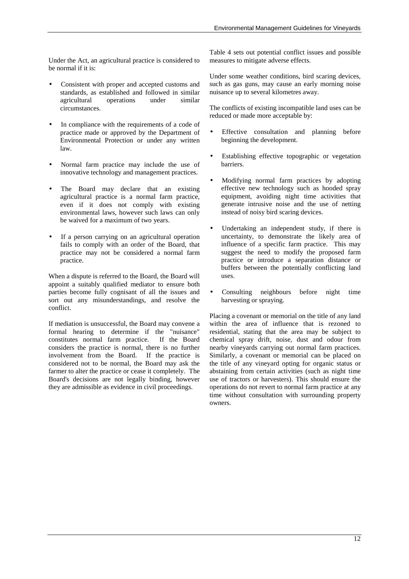Under the Act, an agricultural practice is considered to be normal if it is:

- Consistent with proper and accepted customs and standards, as established and followed in similar agricultural operations under similar circumstances.
- In compliance with the requirements of a code of practice made or approved by the Department of Environmental Protection or under any written law.
- Normal farm practice may include the use of innovative technology and management practices.
- The Board may declare that an existing agricultural practice is a normal farm practice, even if it does not comply with existing environmental laws, however such laws can only be waived for a maximum of two years.
- If a person carrying on an agricultural operation fails to comply with an order of the Board, that practice may not be considered a normal farm practice.

When a dispute is referred to the Board, the Board will appoint a suitably qualified mediator to ensure both parties become fully cognisant of all the issues and sort out any misunderstandings, and resolve the conflict.

If mediation is unsuccessful, the Board may convene a formal hearing to determine if the "nuisance" constitutes normal farm practice. If the Board considers the practice is normal, there is no further involvement from the Board. If the practice is considered not to be normal, the Board may ask the farmer to alter the practice or cease it completely. The Board's decisions are not legally binding, however they are admissible as evidence in civil proceedings.

Table 4 sets out potential conflict issues and possible measures to mitigate adverse effects.

Under some weather conditions, bird scaring devices, such as gas guns, may cause an early morning noise nuisance up to several kilometres away.

The conflicts of existing incompatible land uses can be reduced or made more acceptable by:

- Effective consultation and planning before beginning the development.
- Establishing effective topographic or vegetation barriers.
- Modifying normal farm practices by adopting effective new technology such as hooded spray equipment, avoiding night time activities that generate intrusive noise and the use of netting instead of noisy bird scaring devices.
- Undertaking an independent study, if there is uncertainty, to demonstrate the likely area of influence of a specific farm practice. This may suggest the need to modify the proposed farm practice or introduce a separation distance or buffers between the potentially conflicting land uses.
- Consulting neighbours before night time harvesting or spraying.

Placing a covenant or memorial on the title of any land within the area of influence that is rezoned to residential, stating that the area may be subject to chemical spray drift, noise, dust and odour from nearby vineyards carrying out normal farm practices. Similarly, a covenant or memorial can be placed on the title of any vineyard opting for organic status or abstaining from certain activities (such as night time use of tractors or harvesters). This should ensure the operations do not revert to normal farm practice at any time without consultation with surrounding property owners.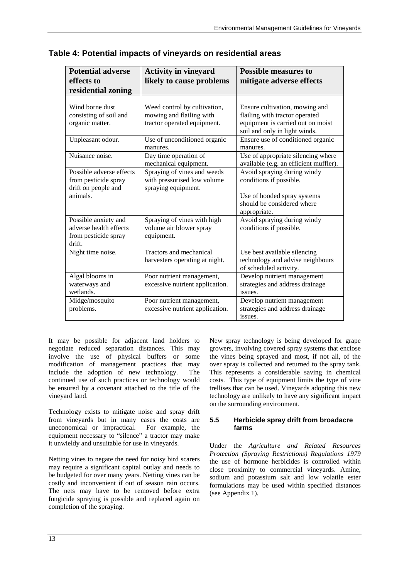| <b>Potential adverse</b><br>effects to<br>residential zoning                        | <b>Activity in vineyard</b><br>likely to cause problems                                 | <b>Possible measures to</b><br>mitigate adverse effects                                                                                |
|-------------------------------------------------------------------------------------|-----------------------------------------------------------------------------------------|----------------------------------------------------------------------------------------------------------------------------------------|
| Wind borne dust<br>consisting of soil and<br>organic matter.                        | Weed control by cultivation,<br>mowing and flailing with<br>tractor operated equipment. | Ensure cultivation, mowing and<br>flailing with tractor operated<br>equipment is carried out on moist<br>soil and only in light winds. |
| Unpleasant odour.                                                                   | Use of unconditioned organic<br>manures.                                                | Ensure use of conditioned organic<br>manures.                                                                                          |
| Nuisance noise.                                                                     | Day time operation of<br>mechanical equipment.                                          | Use of appropriate silencing where<br>available (e.g. an efficient muffler).                                                           |
| Possible adverse effects<br>from pesticide spray<br>drift on people and<br>animals. | Spraying of vines and weeds<br>with pressurised low volume<br>spraying equipment.       | Avoid spraying during windy<br>conditions if possible.<br>Use of hooded spray systems<br>should be considered where<br>appropriate.    |
| Possible anxiety and<br>adverse health effects<br>from pesticide spray<br>drift.    | Spraying of vines with high<br>volume air blower spray<br>equipment.                    | Avoid spraying during windy<br>conditions if possible.                                                                                 |
| Night time noise.                                                                   | Tractors and mechanical<br>harvesters operating at night.                               | Use best available silencing<br>technology and advise neighbours<br>of scheduled activity.                                             |
| Algal blooms in<br>waterways and<br>wetlands.                                       | Poor nutrient management,<br>excessive nutrient application.                            | Develop nutrient management<br>strategies and address drainage<br>issues.                                                              |
| Midge/mosquito<br>problems.                                                         | Poor nutrient management,<br>excessive nutrient application.                            | Develop nutrient management<br>strategies and address drainage<br>issues.                                                              |

**Table 4: Potential impacts of vineyards on residential areas**

It may be possible for adjacent land holders to negotiate reduced separation distances. This may involve the use of physical buffers or some modification of management practices that may include the adoption of new technology. The continued use of such practices or technology would be ensured by a covenant attached to the title of the vineyard land.

Technology exists to mitigate noise and spray drift from vineyards but in many cases the costs are uneconomical or impractical. For example, the equipment necessary to "silence" a tractor may make it unwieldy and unsuitable for use in vineyards.

Netting vines to negate the need for noisy bird scarers may require a significant capital outlay and needs to be budgeted for over many years. Netting vines can be costly and inconvenient if out of season rain occurs. The nets may have to be removed before extra fungicide spraying is possible and replaced again on completion of the spraying.

New spray technology is being developed for grape growers, involving covered spray systems that enclose the vines being sprayed and most, if not all, of the over spray is collected and returned to the spray tank. This represents a considerable saving in chemical costs. This type of equipment limits the type of vine trellises that can be used. Vineyards adopting this new technology are unlikely to have any significant impact on the surrounding environment.

### **5.5 Herbicide spray drift from broadacre farms**

Under the *Agriculture and Related Resources Protection (Spraying Restrictions) Regulations 1979* the use of hormone herbicides is controlled within close proximity to commercial vineyards. Amine, sodium and potassium salt and low volatile ester formulations may be used within specified distances (see Appendix 1).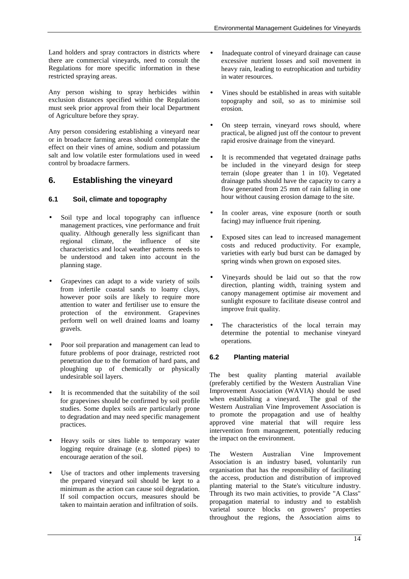Land holders and spray contractors in districts where there are commercial vineyards, need to consult the Regulations for more specific information in these restricted spraying areas.

Any person wishing to spray herbicides within exclusion distances specified within the Regulations must seek prior approval from their local Department of Agriculture before they spray.

Any person considering establishing a vineyard near or in broadacre farming areas should contemplate the effect on their vines of amine, sodium and potassium salt and low volatile ester formulations used in weed control by broadacre farmers.

## **6. Establishing the vineyard**

## **6.1 Soil, climate and topography**

- Soil type and local topography can influence management practices, vine performance and fruit quality. Although generally less significant than regional climate, the influence of site characteristics and local weather patterns needs to be understood and taken into account in the planning stage.
- Grapevines can adapt to a wide variety of soils from infertile coastal sands to loamy clays, however poor soils are likely to require more attention to water and fertiliser use to ensure the protection of the environment. Grapevines perform well on well drained loams and loamy gravels.
- Poor soil preparation and management can lead to future problems of poor drainage, restricted root penetration due to the formation of hard pans, and ploughing up of chemically or physically undesirable soil layers.
- It is recommended that the suitability of the soil for grapevines should be confirmed by soil profile studies. Some duplex soils are particularly prone to degradation and may need specific management practices.
- Heavy soils or sites liable to temporary water logging require drainage (e.g. slotted pipes) to encourage aeration of the soil.
- Use of tractors and other implements traversing the prepared vineyard soil should be kept to a minimum as the action can cause soil degradation. If soil compaction occurs, measures should be taken to maintain aeration and infiltration of soils.
- Inadequate control of vineyard drainage can cause excessive nutrient losses and soil movement in heavy rain, leading to eutrophication and turbidity in water resources.
- Vines should be established in areas with suitable topography and soil, so as to minimise soil erosion.
- On steep terrain, vineyard rows should, where practical, be aligned just off the contour to prevent rapid erosive drainage from the vineyard.
- It is recommended that vegetated drainage paths be included in the vineyard design for steep terrain (slope greater than 1 in 10). Vegetated drainage paths should have the capacity to carry a flow generated from 25 mm of rain falling in one hour without causing erosion damage to the site.
- In cooler areas, vine exposure (north or south facing) may influence fruit ripening.
- Exposed sites can lead to increased management costs and reduced productivity. For example, varieties with early bud burst can be damaged by spring winds when grown on exposed sites.
- Vineyards should be laid out so that the row direction, planting width, training system and canopy management optimise air movement and sunlight exposure to facilitate disease control and improve fruit quality.
- The characteristics of the local terrain may determine the potential to mechanise vineyard operations.

## **6.2 Planting material**

The best quality planting material available (preferably certified by the Western Australian Vine Improvement Association (WAVIA) should be used<br>when establishing a vineyard. The goal of the when establishing a vineyard. Western Australian Vine Improvement Association is to promote the propagation and use of healthy approved vine material that will require less intervention from management, potentially reducing the impact on the environment.

The Western Australian Vine Improvement Association is an industry based, voluntarily run organisation that has the responsibility of facilitating the access, production and distribution of improved planting material to the State's viticulture industry. Through its two main activities, to provide "A Class" propagation material to industry and to establish varietal source blocks on growers' properties throughout the regions, the Association aims to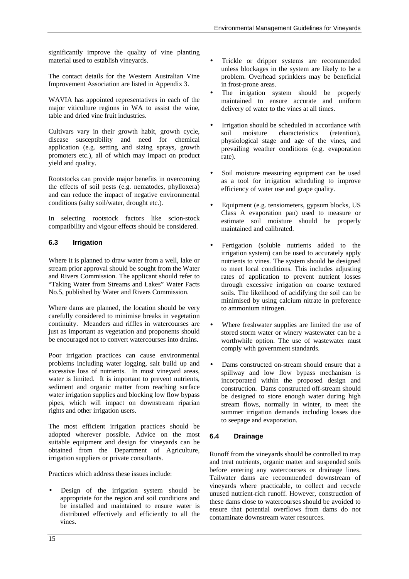significantly improve the quality of vine planting material used to establish vineyards.

The contact details for the Western Australian Vine Improvement Association are listed in Appendix 3.

WAVIA has appointed representatives in each of the major viticulture regions in WA to assist the wine, table and dried vine fruit industries.

Cultivars vary in their growth habit, growth cycle, disease susceptibility and need for chemical application (e.g. setting and sizing sprays, growth promoters etc.), all of which may impact on product yield and quality.

Rootstocks can provide major benefits in overcoming the effects of soil pests (e.g. nematodes, phylloxera) and can reduce the impact of negative environmental conditions (salty soil/water, drought etc.).

In selecting rootstock factors like scion-stock compatibility and vigour effects should be considered.

## **6.3 Irrigation**

Where it is planned to draw water from a well, lake or stream prior approval should be sought from the Water and Rivers Commission. The applicant should refer to "Taking Water from Streams and Lakes" Water Facts No.5, published by Water and Rivers Commission.

Where dams are planned, the location should be very carefully considered to minimise breaks in vegetation continuity. Meanders and riffles in watercourses are just as important as vegetation and proponents should be encouraged not to convert watercourses into drains.

Poor irrigation practices can cause environmental problems including water logging, salt build up and excessive loss of nutrients. In most vineyard areas, water is limited. It is important to prevent nutrients, sediment and organic matter from reaching surface water irrigation supplies and blocking low flow bypass pipes, which will impact on downstream riparian rights and other irrigation users.

The most efficient irrigation practices should be adopted wherever possible. Advice on the most suitable equipment and design for vineyards can be obtained from the Department of Agriculture, irrigation suppliers or private consultants.

Practices which address these issues include:

• Design of the irrigation system should be appropriate for the region and soil conditions and be installed and maintained to ensure water is distributed effectively and efficiently to all the vines.

- Trickle or dripper systems are recommended unless blockages in the system are likely to be a problem. Overhead sprinklers may be beneficial in frost-prone areas.
- The irrigation system should be properly maintained to ensure accurate and uniform delivery of water to the vines at all times.
- Irrigation should be scheduled in accordance with soil moisture characteristics (retention), physiological stage and age of the vines, and prevailing weather conditions (e.g. evaporation rate).
- Soil moisture measuring equipment can be used as a tool for irrigation scheduling to improve efficiency of water use and grape quality.
- Equipment (e.g. tensiometers, gypsum blocks, US Class A evaporation pan) used to measure or estimate soil moisture should be properly maintained and calibrated.
- Fertigation (soluble nutrients added to the irrigation system) can be used to accurately apply nutrients to vines. The system should be designed to meet local conditions. This includes adjusting rates of application to prevent nutrient losses through excessive irrigation on coarse textured soils. The likelihood of acidifying the soil can be minimised by using calcium nitrate in preference to ammonium nitrogen.
- Where freshwater supplies are limited the use of stored storm water or winery wastewater can be a worthwhile option. The use of wastewater must comply with government standards.
- Dams constructed on-stream should ensure that a spillway and low flow bypass mechanism is incorporated within the proposed design and construction. Dams constructed off-stream should be designed to store enough water during high stream flows, normally in winter, to meet the summer irrigation demands including losses due to seepage and evaporation.

## **6.4 Drainage**

Runoff from the vineyards should be controlled to trap and treat nutrients, organic matter and suspended soils before entering any watercourses or drainage lines. Tailwater dams are recommended downstream of vineyards where practicable, to collect and recycle unused nutrient-rich runoff. However, construction of these dams close to watercourses should be avoided to ensure that potential overflows from dams do not contaminate downstream water resources.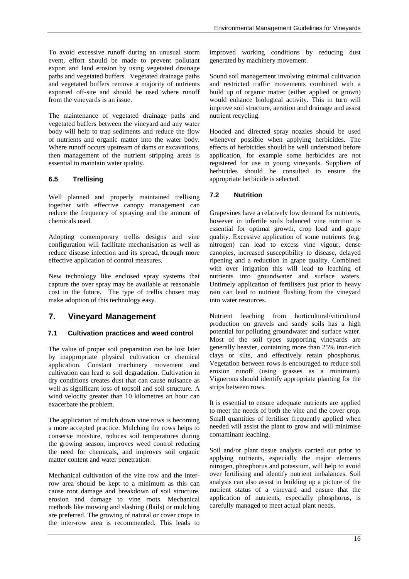To avoid excessive runoff during an unusual storm event, effort should be made to prevent pollutant export and land erosion by using vegetated drainage paths and vegetated buffers. Vegetated drainage paths and vegetated buffers remove a majority of nutrients exported off-site and should be used where runoff from the vineyards is an issue.

The maintenance of vegetated drainage paths and vegetated buffers between the vineyard and any water body will help to trap sediments and reduce the flow of nutrients and organic matter into the water body. Where runoff occurs upstream of dams or excavations, then management of the nutrient stripping areas is essential to maintain water quality.

#### **6.5 Trellising**

Well planned and properly maintained trellising together with effective canopy management can reduce the frequency of spraying and the amount of chemicals used.

Adopting contemporary trellis designs and vine configuration will facilitate mechanisation as well as reduce disease infection and its spread, through more effective application of control measures.

New technology like enclosed spray systems that capture the over spray may be available at reasonable cost in the future. The type of trellis chosen may make adoption of this technology easy.

### **7. Vineyard Management**

#### **7.1 Cultivation practices and weed control**

The value of proper soil preparation can be lost later by inappropriate physical cultivation or chemical application. Constant machinery movement and cultivation can lead to soil degradation. Cultivation in dry conditions creates dust that can cause nuisance as well as significant loss of topsoil and soil structure. A wind velocity greater than 10 kilometres an hour can exacerbate the problem.

The application of mulch down vine rows is becoming a more accepted practice. Mulching the rows helps to conserve moisture, reduces soil temperatures during the growing season, improves weed control reducing the need for chemicals, and improves soil organic matter content and water penetration.

Mechanical cultivation of the vine row and the interrow area should be kept to a minimum as this can cause root damage and breakdown of soil structure, erosion and damage to vine roots. Mechanical methods like mowing and slashing (flails) or mulching are preferred. The growing of natural or cover crops in the inter-row area is recommended. This leads to

improved working conditions by reducing dust generated by machinery movement.

Sound soil management involving minimal cultivation and restricted traffic movements combined with a build up of organic matter (either applied or grown) would enhance biological activity. This in turn will improve soil structure, aeration and drainage and assist nutrient recycling.

Hooded and directed spray nozzles should be used whenever possible when applying herbicides. The effects of herbicides should be well understood before application, for example some herbicides are not registered for use in young vineyards. Suppliers of herbicides should be consulted to ensure the appropriate herbicide is selected.

#### **7.2 Nutrition**

Grapevines have a relatively low demand for nutrients, however in infertile soils balanced vine nutrition is essential for optimal growth, crop load and grape quality. Excessive application of some nutrients (e.g. nitrogen) can lead to excess vine vigour, dense canopies, increased susceptibility to disease, delayed ripening and a reduction in grape quality. Combined with over irrigation this will lead to leaching of nutrients into groundwater and surface waters. Untimely application of fertilisers just prior to heavy rain can lead to nutrient flushing from the vineyard into water resources.

Nutrient leaching from horticultural/viticultural production on gravels and sandy soils has a high potential for polluting groundwater and surface water. Most of the soil types supporting vineyards are generally heavier, containing more than 25% iron-rich clays or silts, and effectively retain phosphorus. Vegetation between rows is encouraged to reduce soil erosion runoff (using grasses as a minimum). Vignerons should identify appropriate planting for the strips between rows.

It is essential to ensure adequate nutrients are applied to meet the needs of both the vine and the cover crop. Small quantities of fertiliser frequently applied when needed will assist the plant to grow and will minimise contaminant leaching.

Soil and/or plant tissue analysis carried out prior to applying nutrients, especially the major elements nitrogen, phosphorus and potassium, will help to avoid over fertilising and identify nutrient imbalances. Soil analysis can also assist in building up a picture of the nutrient status of a vineyard and ensure that the application of nutrients, especially phosphorus, is carefully managed to meet actual plant needs.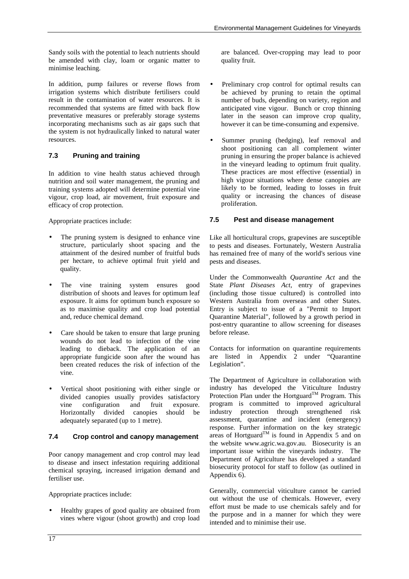Sandy soils with the potential to leach nutrients should be amended with clay, loam or organic matter to minimise leaching.

In addition, pump failures or reverse flows from irrigation systems which distribute fertilisers could result in the contamination of water resources. It is recommended that systems are fitted with back flow preventative measures or preferably storage systems incorporating mechanisms such as air gaps such that the system is not hydraulically linked to natural water resources.

### **7.3 Pruning and training**

In addition to vine health status achieved through nutrition and soil water management, the pruning and training systems adopted will determine potential vine vigour, crop load, air movement, fruit exposure and efficacy of crop protection.

Appropriate practices include:

- The pruning system is designed to enhance vine structure, particularly shoot spacing and the attainment of the desired number of fruitful buds per hectare, to achieve optimal fruit yield and quality.
- The vine training system ensures good distribution of shoots and leaves for optimum leaf exposure. It aims for optimum bunch exposure so as to maximise quality and crop load potential and, reduce chemical demand.
- Care should be taken to ensure that large pruning wounds do not lead to infection of the vine leading to dieback. The application of an appropriate fungicide soon after the wound has been created reduces the risk of infection of the vine.
- Vertical shoot positioning with either single or divided canopies usually provides satisfactory vine configuration and fruit exposure. Horizontally divided canopies should be adequately separated (up to 1 metre).

#### **7.4 Crop control and canopy management**

Poor canopy management and crop control may lead to disease and insect infestation requiring additional chemical spraying, increased irrigation demand and fertiliser use.

Appropriate practices include:

• Healthy grapes of good quality are obtained from vines where vigour (shoot growth) and crop load

are balanced. Over-cropping may lead to poor quality fruit.

- Preliminary crop control for optimal results can be achieved by pruning to retain the optimal number of buds, depending on variety, region and anticipated vine vigour. Bunch or crop thinning later in the season can improve crop quality, however it can be time-consuming and expensive.
- Summer pruning (hedging), leaf removal and shoot positioning can all complement winter pruning in ensuring the proper balance is achieved in the vineyard leading to optimum fruit quality. These practices are most effective (essential) in high vigour situations where dense canopies are likely to be formed, leading to losses in fruit quality or increasing the chances of disease proliferation.

#### **7.5 Pest and disease management**

Like all horticultural crops, grapevines are susceptible to pests and diseases. Fortunately, Western Australia has remained free of many of the world's serious vine pests and diseases.

Under the Commonwealth *Quarantine Act* and the State *Plant Diseases Act*, entry of grapevines (including those tissue cultured) is controlled into Western Australia from overseas and other States. Entry is subject to issue of a "Permit to Import Quarantine Material", followed by a growth period in post-entry quarantine to allow screening for diseases before release.

Contacts for information on quarantine requirements are listed in Appendix 2 under "Quarantine Legislation".

The Department of Agriculture in collaboration with industry has developed the Viticulture Industry Protection Plan under the Hortguard<sup>TM</sup> Program. This program is committed to improved agricultural industry protection through strengthened risk assessment, quarantine and incident (emergency) response. Further information on the key strategic areas of Hortguard<sup>TM</sup> is found in Appendix 5 and on the website www.agric.wa.gov.au. Biosecurity is an important issue within the vineyards industry. The Department of Agriculture has developed a standard biosecurity protocol for staff to follow (as outlined in Appendix 6).

Generally, commercial viticulture cannot be carried out without the use of chemicals. However, every effort must be made to use chemicals safely and for the purpose and in a manner for which they were intended and to minimise their use.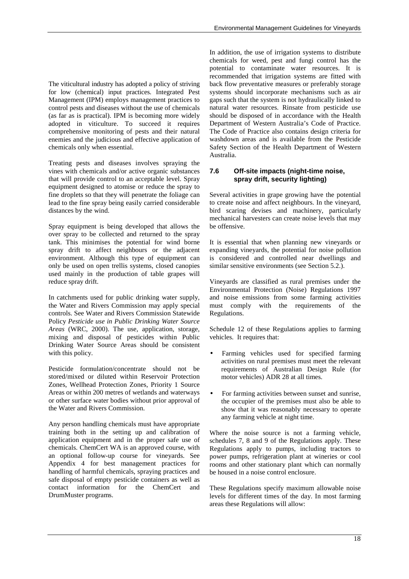The viticultural industry has adopted a policy of striving for low (chemical) input practices. Integrated Pest Management (IPM) employs management practices to control pests and diseases without the use of chemicals (as far as is practical). IPM is becoming more widely adopted in viticulture. To succeed it requires comprehensive monitoring of pests and their natural enemies and the judicious and effective application of chemicals only when essential.

Treating pests and diseases involves spraying the vines with chemicals and/or active organic substances that will provide control to an acceptable level. Spray equipment designed to atomise or reduce the spray to fine droplets so that they will penetrate the foliage can lead to the fine spray being easily carried considerable distances by the wind.

Spray equipment is being developed that allows the over spray to be collected and returned to the spray tank. This minimises the potential for wind borne spray drift to affect neighbours or the adjacent environment. Although this type of equipment can only be used on open trellis systems, closed canopies used mainly in the production of table grapes will reduce spray drift.

In catchments used for public drinking water supply, the Water and Rivers Commission may apply special controls. See Water and Rivers Commission Statewide Policy *Pesticide use in Public Drinking Water Source Areas* (WRC, 2000). The use, application, storage, mixing and disposal of pesticides within Public Drinking Water Source Areas should be consistent with this policy.

Pesticide formulation/concentrate should not be stored/mixed or diluted within Reservoir Protection Zones, Wellhead Protection Zones, Priority 1 Source Areas or within 200 metres of wetlands and waterways or other surface water bodies without prior approval of the Water and Rivers Commission.

Any person handling chemicals must have appropriate training both in the setting up and calibration of application equipment and in the proper safe use of chemicals. ChemCert WA is an approved course, with an optional follow-up course for vineyards. See Appendix 4 for best management practices for handling of harmful chemicals, spraying practices and safe disposal of empty pesticide containers as well as contact information for the ChemCert and DrumMuster programs.

In addition, the use of irrigation systems to distribute chemicals for weed, pest and fungi control has the potential to contaminate water resources. It is recommended that irrigation systems are fitted with back flow preventative measures or preferably storage systems should incorporate mechanisms such as air gaps such that the system is not hydraulically linked to natural water resources. Rinsate from pesticide use should be disposed of in accordance with the Health Department of Western Australia's Code of Practice. The Code of Practice also contains design criteria for washdown areas and is available from the Pesticide Safety Section of the Health Department of Western Australia.

### **7.6 Off-site impacts (night-time noise, spray drift, security lighting)**

Several activities in grape growing have the potential to create noise and affect neighbours. In the vineyard, bird scaring devises and machinery, particularly mechanical harvesters can create noise levels that may be offensive.

It is essential that when planning new vineyards or expanding vineyards, the potential for noise pollution is considered and controlled near dwellings and similar sensitive environments (see Section 5.2.).

Vineyards are classified as rural premises under the Environmental Protection (Noise) Regulations 1997 and noise emissions from some farming activities must comply with the requirements of the Regulations.

Schedule 12 of these Regulations applies to farming vehicles. It requires that:

- Farming vehicles used for specified farming activities on rural premises must meet the relevant requirements of Australian Design Rule (for motor vehicles) ADR 28 at all times.
- For farming activities between sunset and sunrise, the occupier of the premises must also be able to show that it was reasonably necessary to operate any farming vehicle at night time.

Where the noise source is not a farming vehicle, schedules 7, 8 and 9 of the Regulations apply. These Regulations apply to pumps, including tractors to power pumps, refrigeration plant at wineries or cool rooms and other stationary plant which can normally be housed in a noise control enclosure.

These Regulations specify maximum allowable noise levels for different times of the day. In most farming areas these Regulations will allow: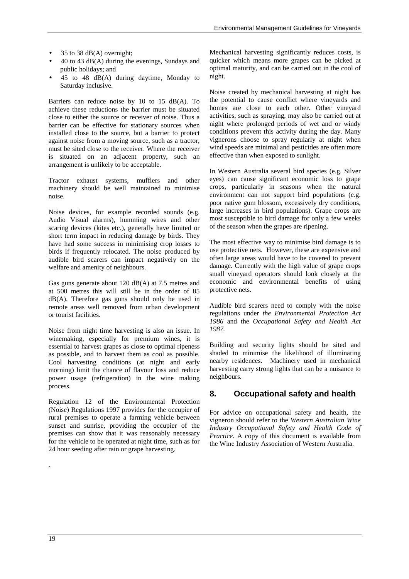- 35 to 38 dB(A) overnight;
- 40 to 43 dB(A) during the evenings, Sundays and public holidays; and
- 45 to 48 dB(A) during daytime, Monday to Saturday inclusive.

Barriers can reduce noise by 10 to 15 dB(A). To achieve these reductions the barrier must be situated close to either the source or receiver of noise. Thus a barrier can be effective for stationary sources when installed close to the source, but a barrier to protect against noise from a moving source, such as a tractor, must be sited close to the receiver. Where the receiver is situated on an adjacent property, such an arrangement is unlikely to be acceptable.

Tractor exhaust systems, mufflers and other machinery should be well maintained to minimise noise.

Noise devices, for example recorded sounds (e.g. Audio Visual alarms), humming wires and other scaring devices (kites etc.), generally have limited or short term impact in reducing damage by birds. They have had some success in minimising crop losses to birds if frequently relocated. The noise produced by audible bird scarers can impact negatively on the welfare and amenity of neighbours.

Gas guns generate about 120 dB(A) at 7.5 metres and at 500 metres this will still be in the order of 85 dB(A). Therefore gas guns should only be used in remote areas well removed from urban development or tourist facilities.

Noise from night time harvesting is also an issue. In winemaking, especially for premium wines, it is essential to harvest grapes as close to optimal ripeness as possible, and to harvest them as cool as possible. Cool harvesting conditions (at night and early morning) limit the chance of flavour loss and reduce power usage (refrigeration) in the wine making process.

Regulation 12 of the Environmental Protection (Noise) Regulations 1997 provides for the occupier of rural premises to operate a farming vehicle between sunset and sunrise, providing the occupier of the premises can show that it was reasonably necessary for the vehicle to be operated at night time, such as for 24 hour seeding after rain or grape harvesting.

Mechanical harvesting significantly reduces costs, is quicker which means more grapes can be picked at optimal maturity, and can be carried out in the cool of night.

Noise created by mechanical harvesting at night has the potential to cause conflict where vineyards and homes are close to each other. Other vineyard activities, such as spraying, may also be carried out at night where prolonged periods of wet and or windy conditions prevent this activity during the day. Many vignerons choose to spray regularly at night when wind speeds are minimal and pesticides are often more effective than when exposed to sunlight.

In Western Australia several bird species (e.g. Silver eyes) can cause significant economic loss to grape crops, particularly in seasons when the natural environment can not support bird populations (e.g. poor native gum blossom, excessively dry conditions, large increases in bird populations). Grape crops are most susceptible to bird damage for only a few weeks of the season when the grapes are ripening.

The most effective way to minimise bird damage is to use protective nets. However, these are expensive and often large areas would have to be covered to prevent damage. Currently with the high value of grape crops small vineyard operators should look closely at the economic and environmental benefits of using protective nets.

Audible bird scarers need to comply with the noise regulations under *the Environmental Protection Act 1986* and the *Occupational Safety and Health Act 1987.*

Building and security lights should be sited and shaded to minimise the likelihood of illuminating nearby residences. Machinery used in mechanical harvesting carry strong lights that can be a nuisance to neighbours.

### **8. Occupational safety and health**

For advice on occupational safety and health, the vigneron should refer to the *Western Australian Wine Industry Occupational Safety and Health Code of Practice.* A copy of this document is available from the Wine Industry Association of Western Australia.

.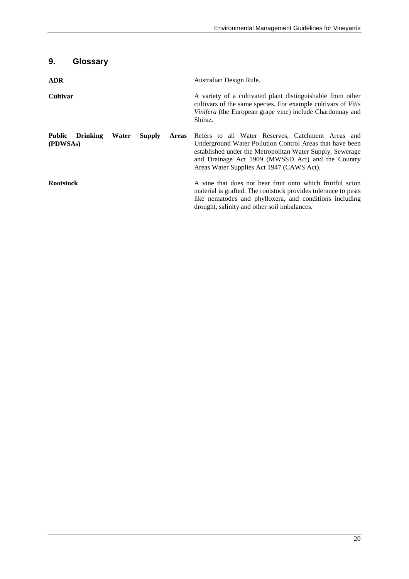## **9. Glossary**

| <b>ADR</b>                                   |       |               |              | Australian Design Rule.                                                                                                                                                                                                                                                      |
|----------------------------------------------|-------|---------------|--------------|------------------------------------------------------------------------------------------------------------------------------------------------------------------------------------------------------------------------------------------------------------------------------|
| <b>Cultivar</b>                              |       |               |              | A variety of a cultivated plant distinguishable from other<br>cultivars of the same species. For example cultivars of <i>Vitis</i><br>Vinifera (the European grape vine) include Chardonnay and<br>Shiraz.                                                                   |
| <b>Public</b><br><b>Drinking</b><br>(PDWSAs) | Water | <b>Supply</b> | <b>Areas</b> | Refers to all Water Reserves, Catchment Areas and<br>Underground Water Pollution Control Areas that have been<br>established under the Metropolitan Water Supply, Sewerage<br>and Drainage Act 1909 (MWSSD Act) and the Country<br>Areas Water Supplies Act 1947 (CAWS Act). |
| <b>Rootstock</b>                             |       |               |              | A vine that does not bear fruit onto which fruitful scion<br>material is grafted. The rootstock provides tolerance to pests<br>like nematodes and phylloxera, and conditions including<br>drought, salinity and other soil imbalances.                                       |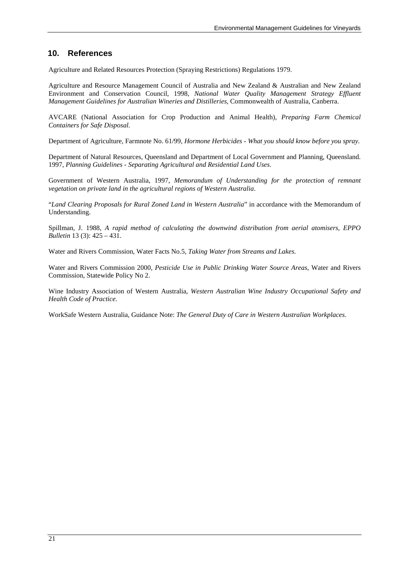### **10. References**

Agriculture and Related Resources Protection (Spraying Restrictions) Regulations 1979.

Agriculture and Resource Management Council of Australia and New Zealand & Australian and New Zealand Environment and Conservation Council, 1998, *National Water Quality Management Strategy Effluent Management Guidelines for Australian Wineries and Distilleries*, Commonwealth of Australia, Canberra.

AVCARE (National Association for Crop Production and Animal Health), *Preparing Farm Chemical Containers for Safe Disposal.*

Department of Agriculture, Farmnote No. 61/99, *Hormone Herbicides - What you should know before you spray.*

Department of Natural Resources, Queensland and Department of Local Government and Planning, Queensland. 1997, *Planning Guidelines - Separating Agricultural and Residential Land Uses*.

Government of Western Australia, 1997, *Memorandum of Understanding for the protection of remnant vegetation on private land in the agricultural regions of Western Australia*.

"*Land Clearing Proposals for Rural Zoned Land in Western Australia*" in accordance with the Memorandum of Understanding.

Spillman, J. 1988, *A rapid method of calculating the downwind distribution from aerial atomisers, EPPO Bulletin* 13 (3): 425 – 431.

Water and Rivers Commission, Water Facts No.5, *Taking Water from Streams and Lakes*.

Water and Rivers Commission 2000, *Pesticide Use in Public Drinking Water Source Areas*, Water and Rivers Commission, Statewide Policy No 2.

Wine Industry Association of Western Australia, *Western Australian Wine Industry Occupational Safety and Health Code of Practice.*

WorkSafe Western Australia, Guidance Note: *The General Duty of Care in Western Australian Workplaces*.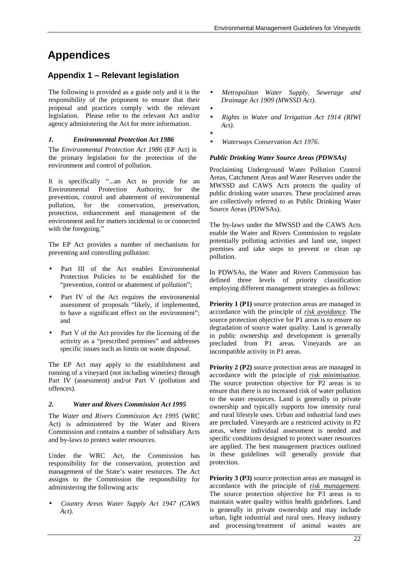## **Appendices**

## **Appendix 1 – Relevant legislation**

The following is provided as a guide only and it is the responsibility of the proponent to ensure that their proposal and practices comply with the relevant legislation. Please refer to the relevant Act and/or agency administering the Act for more information.

#### *1. Environmental Protection Act 1986*

The *Environmental Protection Act 1986* (EP Act) is the primary legislation for the protection of the environment and control of pollution.

It is specifically "...an Act to provide for an Environmental Protection Authority, for the prevention, control and abatement of environmental pollution, for the conservation, preservation, protection, enhancement and management of the environment and for matters incidental to or connected with the foregoing."

The EP Act provides a number of mechanisms for preventing and controlling pollution:

- Part III of the Act enables Environmental Protection Policies to be established for the "prevention, control or abatement of pollution";
- Part IV of the Act requires the environmental assessment of proposals "likely, if implemented, to have a significant effect on the environment"; and
- Part V of the Act provides for the licensing of the activity as a "prescribed premises" and addresses specific issues such as limits on waste disposal.

The EP Act may apply to the establishment and running of a vineyard (not including wineries) through Part IV (assessment) and/or Part V (pollution and offences).

#### *2. Water and Rivers Commission Act 1995*

The *Water and Rivers Commission Act 1995* (WRC Act) is administered by the Water and Rivers Commission and contains a number of subsidiary Acts and by-laws to protect water resources.

Under the WRC Act, the Commission has responsibility for the conservation, protection and management of the State's water resources. The Act assigns to the Commission the responsibility for administering the following acts:

• *Country Areas Water Supply Act 1947 (CAWS Act).*

- *Metropolitan Water Supply, Sewerage and Drainage Act 1909 (MWSSD Act).*
	-

•

•

- *Rights in Water and Irrigation Act 1914 (RIWI Act).*
	- *Waterways Conservation Act 1976.*

#### *Public Drinking Water Source Areas (PDWSAs)*

Proclaiming Underground Water Pollution Control Areas, Catchment Areas and Water Reserves under the MWSSD and CAWS Acts protects the quality of public drinking water sources. These proclaimed areas are collectively referred to as Public Drinking Water Source Areas (PDWSAs).

The by-laws under the MWSSD and the CAWS Acts enable the Water and Rivers Commission to regulate potentially polluting activities and land use, inspect premises and take steps to prevent or clean up pollution.

In PDWSAs, the Water and Rivers Commission has defined three levels of priority classification employing different management strategies as follows:

**Priority 1 (P1)** source protection areas are managed in accordance with the principle of *risk avoidance*. The source protection objective for P1 areas is to ensure no degradation of source water quality. Land is generally in public ownership and development is generally precluded from P1 areas. Vineyards are an incompatible activity in P1 areas.

**Priority 2 (P2)** source protection areas are managed in accordance with the principle of *risk minimisation*. The source protection objective for P2 areas is to ensure that there is no increased risk of water pollution to the water resources. Land is generally in private ownership and typically supports low intensity rural and rural lifestyle uses. Urban and industrial land uses are precluded. Vineyards are a restricted activity in P2 areas, where individual assessment is needed and specific conditions designed to protect water resources are applied. The best management practices outlined in these guidelines will generally provide that protection.

**Priority 3 (P3)** source protection areas are managed in accordance with the principle of *risk management*. The source protection objective for P3 areas is to maintain water quality within health guidelines. Land is generally in private ownership and may include urban, light industrial and rural uses. Heavy industry and processing/treatment of animal wastes are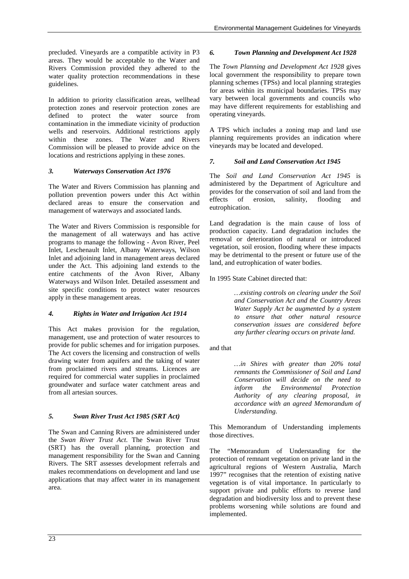precluded. Vineyards are a compatible activity in P3 areas. They would be acceptable to the Water and Rivers Commission provided they adhered to the water quality protection recommendations in these guidelines.

In addition to priority classification areas, wellhead protection zones and reservoir protection zones are defined to protect the water source from contamination in the immediate vicinity of production wells and reservoirs. Additional restrictions apply within these zones. The Water and Rivers Commission will be pleased to provide advice on the locations and restrictions applying in these zones.

#### *3. Waterways Conservation Act 1976*

The Water and Rivers Commission has planning and pollution prevention powers under this Act within declared areas to ensure the conservation and management of waterways and associated lands.

The Water and Rivers Commission is responsible for the management of all waterways and has active programs to manage the following - Avon River, Peel Inlet, Leschenault Inlet, Albany Waterways, Wilson Inlet and adjoining land in management areas declared under the Act. This adjoining land extends to the entire catchments of the Avon River, Albany Waterways and Wilson Inlet. Detailed assessment and site specific conditions to protect water resources apply in these management areas.

### *4. Rights in Water and Irrigation Act 1914*

This Act makes provision for the regulation, management, use and protection of water resources to provide for public schemes and for irrigation purposes. The Act covers the licensing and construction of wells drawing water from aquifers and the taking of water from proclaimed rivers and streams. Licences are required for commercial water supplies in proclaimed groundwater and surface water catchment areas and from all artesian sources.

### *5. Swan River Trust Act 1985 (SRT Act)*

The Swan and Canning Rivers are administered under the *Swan River Trust Act*. The Swan River Trust (SRT) has the overall planning, protection and management responsibility for the Swan and Canning Rivers. The SRT assesses development referrals and makes recommendations on development and land use applications that may affect water in its management area.

### *6. Town Planning and Development Act 1928*

The *Town Planning and Development Act 1928* gives local government the responsibility to prepare town planning schemes (TPSs) and local planning strategies for areas within its municipal boundaries. TPSs may vary between local governments and councils who may have different requirements for establishing and operating vineyards.

A TPS which includes a zoning map and land use planning requirements provides an indication where vineyards may be located and developed.

### *7. Soil and Land Conservation Act 1945*

The *Soil and Land Conservation Act 1945* is administered by the Department of Agriculture and provides for the conservation of soil and land from the effects of erosion, salinity, flooding and eutrophication.

Land degradation is the main cause of loss of production capacity. Land degradation includes the removal or deterioration of natural or introduced vegetation, soil erosion, flooding where these impacts may be detrimental to the present or future use of the land, and eutrophication of water bodies.

In 1995 State Cabinet directed that:

*…existing controls on clearing under the Soil and Conservation Act and the Country Areas Water Supply Act be augmented by a system to ensure that other natural resource conservation issues are considered before any further clearing occurs on private land.*

and that

*…in Shires with greater than 20% total remnants the Commissioner of Soil and Land Conservation will decide on the need to inform the Environmental Protection Authority of any clearing proposal, in accordance with an agreed Memorandum of Understanding.*

This Memorandum of Understanding implements those directives.

The "Memorandum of Understanding for the protection of remnant vegetation on private land in the agricultural regions of Western Australia, March 1997" recognises that the retention of existing native vegetation is of vital importance. In particularly to support private and public efforts to reverse land degradation and biodiversity loss and to prevent these problems worsening while solutions are found and implemented.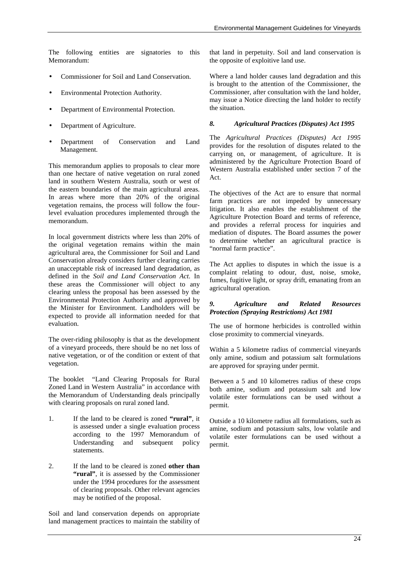The following entities are signatories to this Memorandum:

- Commissioner for Soil and Land Conservation.
- Environmental Protection Authority.
- Department of Environmental Protection.
- Department of Agriculture.
- Department of Conservation and Land Management.

This memorandum applies to proposals to clear more than one hectare of native vegetation on rural zoned land in southern Western Australia, south or west of the eastern boundaries of the main agricultural areas. In areas where more than 20% of the original vegetation remains, the process will follow the fourlevel evaluation procedures implemented through the memorandum.

In local government districts where less than 20% of the original vegetation remains within the main agricultural area, the Commissioner for Soil and Land Conservation already considers further clearing carries an unacceptable risk of increased land degradation, as defined in the *Soil and Land Conservation Act*. In these areas the Commissioner will object to any clearing unless the proposal has been assessed by the Environmental Protection Authority and approved by the Minister for Environment. Landholders will be expected to provide all information needed for that evaluation.

The over-riding philosophy is that as the development of a vineyard proceeds, there should be no net loss of native vegetation, or of the condition or extent of that vegetation.

The booklet "Land Clearing Proposals for Rural Zoned Land in Western Australia" in accordance with the Memorandum of Understanding deals principally with clearing proposals on rural zoned land.

- 1. If the land to be cleared is zoned **"rural"**, it is assessed under a single evaluation process according to the 1997 Memorandum of Understanding and subsequent policy statements.
- 2. If the land to be cleared is zoned **other than "rural"**, it is assessed by the Commissioner under the 1994 procedures for the assessment of clearing proposals. Other relevant agencies may be notified of the proposal.

Soil and land conservation depends on appropriate land management practices to maintain the stability of that land in perpetuity. Soil and land conservation is the opposite of exploitive land use.

Where a land holder causes land degradation and this is brought to the attention of the Commissioner, the Commissioner, after consultation with the land holder, may issue a Notice directing the land holder to rectify the situation.

#### *8. Agricultural Practices (Disputes) Act 1995*

The *Agricultural Practices (Disputes) Act 1995* provides for the resolution of disputes related to the carrying on, or management, of agriculture. It is administered by the Agriculture Protection Board of Western Australia established under section 7 of the Act.

The objectives of the Act are to ensure that normal farm practices are not impeded by unnecessary litigation. It also enables the establishment of the Agriculture Protection Board and terms of reference, and provides a referral process for inquiries and mediation of disputes. The Board assumes the power to determine whether an agricultural practice is "normal farm practice".

The Act applies to disputes in which the issue is a complaint relating to odour, dust, noise, smoke, fumes, fugitive light, or spray drift, emanating from an agricultural operation.

#### *9. Agriculture and Related Resources Protection (Spraying Restrictions) Act 1981*

The use of hormone herbicides is controlled within close proximity to commercial vineyards.

Within a 5 kilometre radius of commercial vineyards only amine, sodium and potassium salt formulations are approved for spraying under permit.

Between a 5 and 10 kilometres radius of these crops both amine, sodium and potassium salt and low volatile ester formulations can be used without a permit.

Outside a 10 kilometre radius all formulations, such as amine, sodium and potassium salts, low volatile and volatile ester formulations can be used without a permit.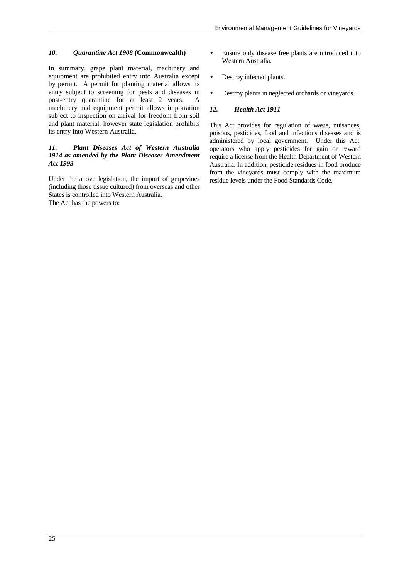#### *10. Quarantine Act 1908* **(Commonwealth)**

In summary, grape plant material, machinery and equipment are prohibited entry into Australia except by permit. A permit for planting material allows its entry subject to screening for pests and diseases in post-entry quarantine for at least 2 years. A machinery and equipment permit allows importation subject to inspection on arrival for freedom from soil and plant material, however state legislation prohibits its entry into Western Australia.

#### *11. Plant Diseases Act of Western Australia 1914 as amended by the Plant Diseases Amendment Act 1993*

Under the above legislation, the import of grapevines (including those tissue cultured) from overseas and other States is controlled into Western Australia.

The Act has the powers to:

- Ensure only disease free plants are introduced into Western Australia.
- Destroy infected plants.
- Destroy plants in neglected orchards or vineyards.

#### *12. Health Act 1911*

This Act provides for regulation of waste, nuisances, poisons, pesticides, food and infectious diseases and is administered by local government. Under this Act, operators who apply pesticides for gain or reward require a license from the Health Department of Western Australia. In addition, pesticide residues in food produce from the vineyards must comply with the maximum residue levels under the Food Standards Code.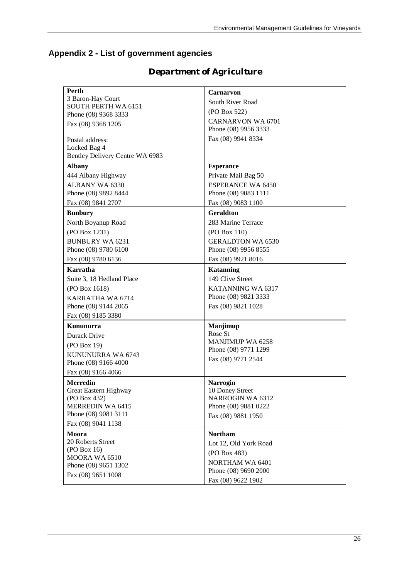## **Appendix 2 - List of government agencies**

| Perth                           | <b>Carnarvon</b>                               |
|---------------------------------|------------------------------------------------|
| 3 Baron-Hay Court               | South River Road                               |
| <b>SOUTH PERTH WA 6151</b>      | (PO Box 522)                                   |
| Phone (08) 9368 3333            | <b>CARNARVON WA 6701</b>                       |
| Fax (08) 9368 1205              | Phone (08) 9956 3333                           |
|                                 |                                                |
| Postal address:                 | Fax (08) 9941 8334                             |
| Locked Bag 4                    |                                                |
| Bentley Delivery Centre WA 6983 |                                                |
| <b>Albany</b>                   | <b>Esperance</b>                               |
| 444 Albany Highway              | Private Mail Bag 50                            |
| <b>ALBANY WA 6330</b>           | <b>ESPERANCE WA 6450</b>                       |
| Phone (08) 9892 8444            | Phone (08) 9083 1111                           |
| Fax (08) 9841 2707              | Fax (08) 9083 1100                             |
| <b>Bunbury</b>                  | <b>Geraldton</b>                               |
| North Boyanup Road              | 283 Marine Terrace                             |
|                                 |                                                |
| (PO Box 1231)                   | (PO Box 110)                                   |
| <b>BUNBURY WA 6231</b>          | <b>GERALDTON WA 6530</b>                       |
| Phone (08) 9780 6100            | Phone (08) 9956 8555                           |
| Fax (08) 9780 6136              | Fax (08) 9921 8016                             |
| Karratha                        | <b>Katanning</b>                               |
| Suite 3, 18 Hedland Place       | 149 Clive Street                               |
| (PO Box 1618)                   | KATANNING WA 6317                              |
| KARRATHA WA 6714                | Phone (08) 9821 3333                           |
| Phone (08) 9144 2065            | Fax (08) 9821 1028                             |
| Fax (08) 9185 3380              |                                                |
| Kununurra                       | Manjimup                                       |
| Durack Drive                    | Rose St                                        |
|                                 | <b>MANJIMUP WA 6258</b>                        |
| (PO Box 19)                     | Phone (08) 9771 1299                           |
| KUNUNURRA WA 6743               | Fax (08) 9771 2544                             |
| Phone (08) 9166 4000            |                                                |
| Fax (08) 9166 4066              |                                                |
| <b>Merredin</b>                 | <b>Narrogin</b>                                |
| Great Eastern Highway           | 10 Doney Street                                |
| (PO Box 432)                    | <b>NARROGIN WA 6312</b>                        |
| <b>MERREDIN WA 6415</b>         | Phone (08) 9881 0222                           |
| Phone (08) 9081 3111            | Fax (08) 9881 1950                             |
| Fax (08) 9041 1138              |                                                |
| Moora                           | <b>Northam</b>                                 |
| 20 Roberts Street               | Lot 12, Old York Road                          |
| (PO Box 16)                     | (PO Box 483)                                   |
| MOORA WA 6510                   |                                                |
| Phone (08) 9651 1302            | <b>NORTHAM WA 6401</b><br>Phone (08) 9690 2000 |
| Fax (08) 9651 1008              |                                                |
|                                 | Fax (08) 9622 1902                             |

## *Department of Agriculture*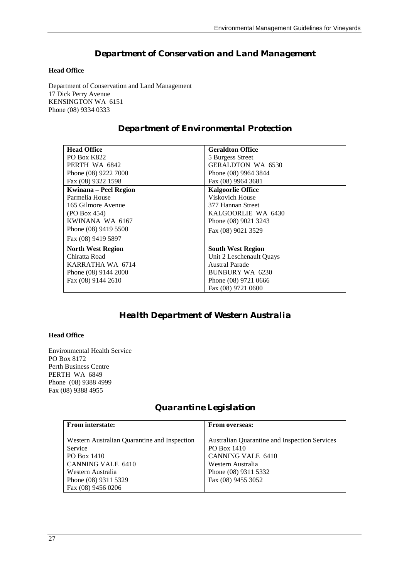## *Department of Conservation and Land Management*

#### **Head Office**

Department of Conservation and Land Management 17 Dick Perry Avenue KENSINGTON WA 6151 Phone (08) 9334 0333

## *Department of Environmental Protection*

| <b>Head Office</b>       | <b>Geraldton Office</b>  |
|--------------------------|--------------------------|
| <b>PO Box K822</b>       | 5 Burgess Street         |
| PERTH WA 6842            | <b>GERALDTON WA 6530</b> |
| Phone (08) 9222 7000     | Phone (08) 9964 3844     |
| Fax (08) 9322 1598       | Fax (08) 9964 3681       |
| Kwinana – Peel Region    | <b>Kalgoorlie Office</b> |
| Parmelia House           | Viskovich House          |
| 165 Gilmore Avenue       | 377 Hannan Street        |
| (PO Box 454)             | KALGOORLIE WA 6430       |
| KWINANA WA 6167          | Phone (08) 9021 3243     |
| Phone (08) 9419 5500     | Fax (08) 9021 3529       |
| Fax (08) 9419 5897       |                          |
| <b>North West Region</b> | <b>South West Region</b> |
| Chiratta Road            | Unit 2 Leschenault Ouays |
| KARRATHA WA 6714         | <b>Austral Parade</b>    |
| Phone (08) 9144 2000     | BUNBURY WA 6230          |
| Fax (08) 9144 2610       | Phone (08) 9721 0666     |
|                          | Fax (08) 9721 0600       |

## *Health Department of Western Australia*

### **Head Office**

Environmental Health Service PO Box 8172 Perth Business Centre PERTH WA 6849 Phone (08) 9388 4999 Fax (08) 9388 4955

## *Quarantine Legislation*

| <b>From interstate:</b>                                                                                                                                        | <b>From overseas:</b>                                                                                                                                              |
|----------------------------------------------------------------------------------------------------------------------------------------------------------------|--------------------------------------------------------------------------------------------------------------------------------------------------------------------|
| Western Australian Quarantine and Inspection<br>Service<br>PO Box 1410<br>CANNING VALE 6410<br>Western Australia<br>Phone (08) 9311 5329<br>Fax (08) 9456 0206 | <b>Australian Quarantine and Inspection Services</b><br>PO Box 1410<br><b>CANNING VALE 6410</b><br>Western Australia<br>Phone (08) 9311 5332<br>Fax (08) 9455 3052 |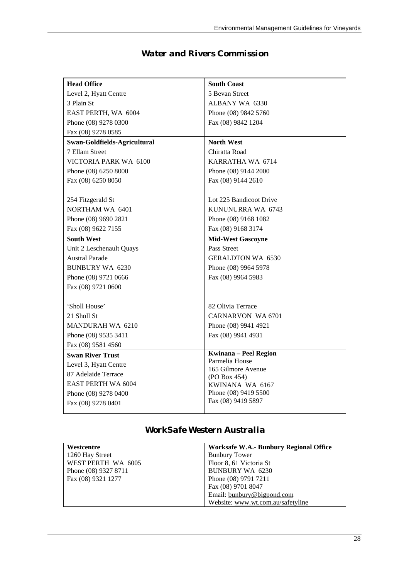| <b>Head Office</b>           | <b>South Coast</b>                   |
|------------------------------|--------------------------------------|
| Level 2, Hyatt Centre        | 5 Bevan Street                       |
| 3 Plain St                   | ALBANY WA 6330                       |
| EAST PERTH, WA 6004          | Phone (08) 9842 5760                 |
| Phone (08) 9278 0300         | Fax (08) 9842 1204                   |
| Fax (08) 9278 0585           |                                      |
| Swan-Goldfields-Agricultural | <b>North West</b>                    |
| 7 Ellam Street               | Chiratta Road                        |
| VICTORIA PARK WA 6100        | KARRATHA WA 6714                     |
| Phone (08) 6250 8000         | Phone (08) 9144 2000                 |
| Fax (08) 6250 8050           | Fax (08) 9144 2610                   |
|                              |                                      |
| 254 Fitzgerald St            | Lot 225 Bandicoot Drive              |
| NORTHAM WA 6401              | KUNUNURRA WA 6743                    |
| Phone (08) 9690 2821         | Phone (08) 9168 1082                 |
| Fax (08) 9622 7155           | Fax (08) 9168 3174                   |
| <b>South West</b>            | <b>Mid-West Gascoyne</b>             |
| Unit 2 Leschenault Quays     | Pass Street                          |
| <b>Austral Parade</b>        | <b>GERALDTON WA 6530</b>             |
| <b>BUNBURY WA 6230</b>       | Phone (08) 9964 5978                 |
| Phone (08) 9721 0666         | Fax (08) 9964 5983                   |
| Fax (08) 9721 0600           |                                      |
|                              |                                      |
| 'Sholl House'                | 82 Olivia Terrace                    |
| 21 Sholl St                  | CARNARVON WA 6701                    |
| MANDURAH WA 6210             | Phone (08) 9941 4921                 |
| Phone (08) 9535 3411         | Fax (08) 9941 4931                   |
| Fax (08) 9581 4560           |                                      |
| <b>Swan River Trust</b>      | Kwinana - Peel Region                |
| Level 3, Hyatt Centre        | Parmelia House<br>165 Gilmore Avenue |
| 87 Adelaide Terrace          | (PO Box 454)                         |
| EAST PERTH WA 6004           | KWINANA WA 6167                      |
| Phone (08) 9278 0400         | Phone (08) 9419 5500                 |
| Fax (08) 9278 0401           | Fax (08) 9419 5897                   |
|                              |                                      |

## *Water and Rivers Commission*

## *WorkSafe Western Australia*

| Westcentre           | Worksafe W.A.- Bunbury Regional Office |
|----------------------|----------------------------------------|
| 1260 Hay Street      | <b>Bunbury Tower</b>                   |
| WEST PERTH WA 6005   | Floor 8, 61 Victoria St                |
| Phone (08) 9327 8711 | <b>BUNBURY WA 6230</b>                 |
| Fax (08) 9321 1277   | Phone (08) 9791 7211                   |
|                      | Fax (08) 9701 8047                     |
|                      | Email: bunbury@bigpond.com             |
|                      | Website: www.wt.com.au/safetyline      |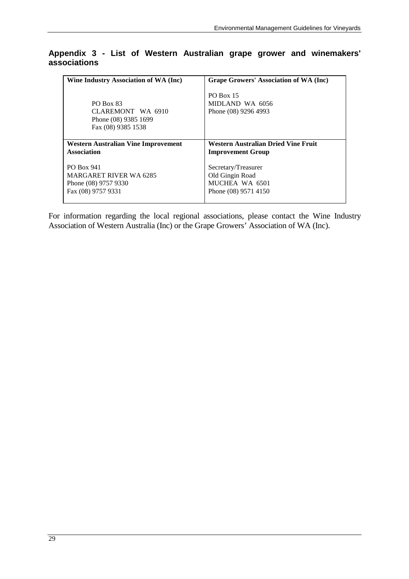## **Appendix 3 - List of Western Australian grape grower and winemakers' associations**

| Wine Industry Association of WA (Inc)                                                            | Grape Growers' Association of WA (Inc)                                           |
|--------------------------------------------------------------------------------------------------|----------------------------------------------------------------------------------|
| <b>PO Box 83</b><br>CLAREMONT WA 6910<br>Phone (08) 9385 1699<br>Fax (08) 9385 1538              | <b>PO Box 15</b><br>MIDLAND WA 6056<br>Phone (08) 9296 4993                      |
| <b>Western Australian Vine Improvement</b>                                                       | Western Australian Dried Vine Fruit                                              |
| <b>Association</b>                                                                               | <b>Improvement Group</b>                                                         |
| <b>PO Box 941</b><br><b>MARGARET RIVER WA 6285</b><br>Phone (08) 9757 9330<br>Fax (08) 9757 9331 | Secretary/Treasurer<br>Old Gingin Road<br>MUCHEA WA 6501<br>Phone (08) 9571 4150 |

For information regarding the local regional associations, please contact the Wine Industry Association of Western Australia (Inc) or the Grape Growers' Association of WA (Inc).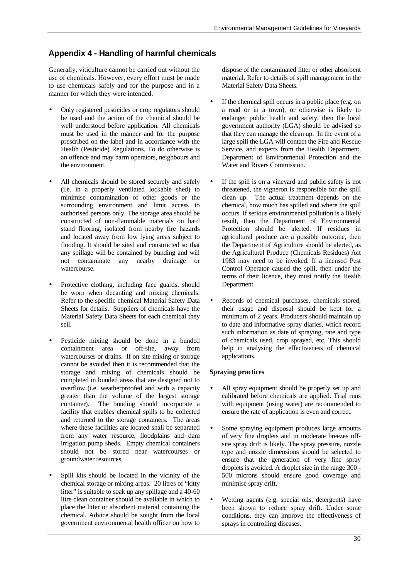## **Appendix 4 - Handling of harmful chemicals**

Generally, viticulture cannot be carried out without the use of chemicals. However, every effort must be made to use chemicals safely and for the purpose and in a manner for which they were intended.

- Only registered pesticides or crop regulators should be used and the action of the chemical should be well understood before application. All chemicals must be used in the manner and for the purpose prescribed on the label and in accordance with the Health (Pesticide) Regulations. To do otherwise is an offence and may harm operators, neighbours and the environment.
- All chemicals should be stored securely and safely (i.e. in a properly ventilated lockable shed) to minimise contamination of other goods or the surrounding environment and limit access to authorised persons only. The storage area should be constructed of non-flammable materials on hard stand flooring, isolated from nearby fire hazards and located away from low lying areas subject to flooding. It should be sited and constructed so that any spillage will be contained by bunding and will not contaminate any nearby drainage or watercourse.
- Protective clothing, including face guards, should be worn when decanting and mixing chemicals. Refer to the specific chemical Material Safety Data Sheets for details. Suppliers of chemicals have the Material Safety Data Sheets for each chemical they sell.
- Pesticide mixing should be done in a bunded containment area or off-site, away from watercourses or drains. If on-site mixing or storage cannot be avoided then it is recommended that the storage and mixing of chemicals should be completed in bunded areas that are designed not to overflow (i.e. weatherproofed and with a capacity greater than the volume of the largest storage container). The bunding should incorporate a facility that enables chemical spills to be collected and returned to the storage containers. The areas where these facilities are located shall be separated from any water resource, floodplains and dam irrigation pump sheds. Empty chemical containers should not be stored near watercourses or groundwater resources.
- Spill kits should be located in the vicinity of the chemical storage or mixing areas. 20 litres of "kitty litter" is suitable to soak up any spillage and a 40-60 litre clean container should be available in which to place the litter or absorbent material containing the chemical. Advice should be sought from the local government environmental health officer on how to

dispose of the contaminated litter or other absorbent material. Refer to details of spill management in the Material Safety Data Sheets.

- If the chemical spill occurs in a public place (e.g. on a road or in a town), or otherwise is likely to endanger public health and safety, then the local government authority (LGA) should be advised so that they can manage the clean up. In the event of a large spill the LGA will contact the Fire and Rescue Service, and experts from the Health Department, Department of Environmental Protection and the Water and Rivers Commission.
- If the spill is on a vineyard and public safety is not threatened, the vigneron is responsible for the spill clean up. The actual treatment depends on the chemical, how much has spilled and where the spill occurs. If serious environmental pollution is a likely result, then the Department of Environmental Protection should be alerted. If residues in agricultural produce are a possible outcome, then the Department of Agriculture should be alerted, as the Agricultural Produce (Chemicals Residues) Act 1983 may need to be invoked. If a licensed Pest Control Operator caused the spill, then under the terms of their licence, they must notify the Health Department.
- Records of chemical purchases, chemicals stored, their usage and disposal should be kept for a minimum of 2 years. Producers should maintain up to date and informative spray diaries, which record such information as date of spraying, rate and type of chemicals used, crop sprayed, etc. This should help in analysing the effectiveness of chemical applications.

#### **Spraying practices**

- All spray equipment should be properly set up and calibrated before chemicals are applied. Trial runs with equipment (using water) are recommended to ensure the rate of application is even and correct.
- Some spraying equipment produces large amounts of very fine droplets and in moderate breezes offsite spray drift is likely. The spray pressure, nozzle type and nozzle dimensions should be selected to ensure that the generation of very fine spray droplets is avoided. A droplet size in the range 300 - 500 microns should ensure good coverage and minimise spray drift.
- Wetting agents (e.g. special oils, detergents) have been shown to reduce spray drift. Under some conditions, they can improve the effectiveness of sprays in controlling diseases.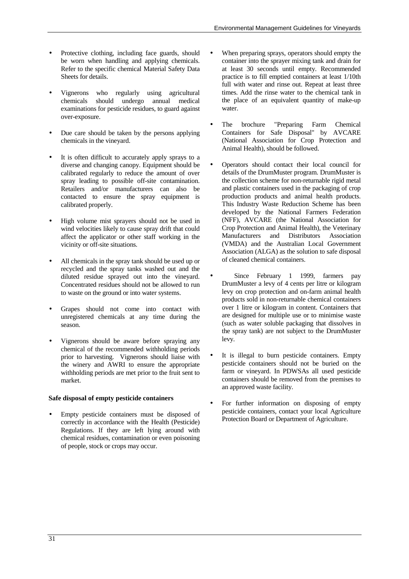- Protective clothing, including face guards, should be worn when handling and applying chemicals. Refer to the specific chemical Material Safety Data Sheets for details.
- Vignerons who regularly using agricultural chemicals should undergo annual medical examinations for pesticide residues, to guard against over-exposure.
- Due care should be taken by the persons applying chemicals in the vineyard.
- It is often difficult to accurately apply sprays to a diverse and changing canopy. Equipment should be calibrated regularly to reduce the amount of over spray leading to possible off-site contamination. Retailers and/or manufacturers can also be contacted to ensure the spray equipment is calibrated properly.
- High volume mist sprayers should not be used in wind velocities likely to cause spray drift that could affect the applicator or other staff working in the vicinity or off-site situations.
- All chemicals in the spray tank should be used up or recycled and the spray tanks washed out and the diluted residue sprayed out into the vineyard. Concentrated residues should not be allowed to run to waste on the ground or into water systems.
- Grapes should not come into contact with unregistered chemicals at any time during the season.
- Vignerons should be aware before spraying any chemical of the recommended withholding periods prior to harvesting. Vignerons should liaise with the winery and AWRI to ensure the appropriate withholding periods are met prior to the fruit sent to market.

#### **Safe disposal of empty pesticide containers**

• Empty pesticide containers must be disposed of correctly in accordance with the Health (Pesticide) Regulations. If they are left lying around with chemical residues, contamination or even poisoning of people, stock or crops may occur.

- When preparing sprays, operators should empty the container into the sprayer mixing tank and drain for at least 30 seconds until empty. Recommended practice is to fill emptied containers at least 1/10th full with water and rinse out. Repeat at least three times. Add the rinse water to the chemical tank in the place of an equivalent quantity of make-up water.
- The brochure "Preparing Farm Chemical Containers for Safe Disposal" by AVCARE (National Association for Crop Protection and Animal Health), should be followed.
- Operators should contact their local council for details of the DrumMuster program. DrumMuster is the collection scheme for non-returnable rigid metal and plastic containers used in the packaging of crop production products and animal health products. This Industry Waste Reduction Scheme has been developed by the National Farmers Federation (NFF), AVCARE (the National Association for Crop Protection and Animal Health), the Veterinary Manufacturers and Distributors Association (VMDA) and the Australian Local Government Association (ALGA) as the solution to safe disposal of cleaned chemical containers.
- Since February 1 1999, farmers pay DrumMuster a levy of 4 cents per litre or kilogram levy on crop protection and on-farm animal health products sold in non-returnable chemical containers over 1 litre or kilogram in content. Containers that are designed for multiple use or to minimise waste (such as water soluble packaging that dissolves in the spray tank) are not subject to the DrumMuster levy.
- It is illegal to burn pesticide containers. Empty pesticide containers should not be buried on the farm or vineyard. In PDWSAs all used pesticide containers should be removed from the premises to an approved waste facility.
- For further information on disposing of empty pesticide containers, contact your local Agriculture Protection Board or Department of Agriculture.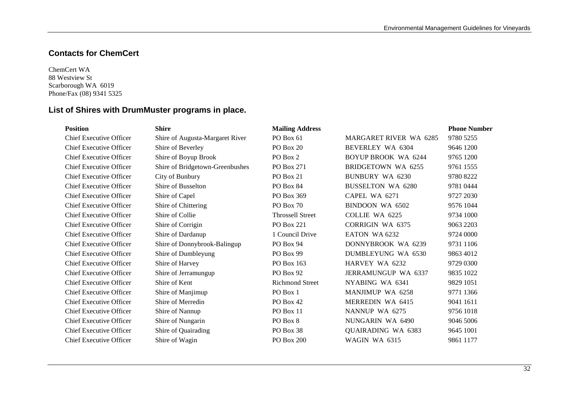## **Contacts for ChemCert**

ChemCert WA 88 Westview St Scarborough WA 6019 Phone/Fax (08) 9341 5325

## **List of Shires with DrumMuster programs in place.**

| <b>Position</b>                | <b>Shire</b>                    | <b>Mailing Address</b>  |                               | <b>Phone Number</b> |
|--------------------------------|---------------------------------|-------------------------|-------------------------------|---------------------|
| <b>Chief Executive Officer</b> | Shire of Augusta-Margaret River | <b>PO Box 61</b>        | <b>MARGARET RIVER WA 6285</b> | 9780 5255           |
| <b>Chief Executive Officer</b> | Shire of Beverley               | PO Box 20               | BEVERLEY WA 6304              | 9646 1200           |
| <b>Chief Executive Officer</b> | Shire of Boyup Brook            | PO Box 2                | <b>BOYUP BROOK WA 6244</b>    | 9765 1200           |
| <b>Chief Executive Officer</b> | Shire of Bridgetown-Greenbushes | PO Box 271              | BRIDGETOWN WA 6255            | 9761 1555           |
| <b>Chief Executive Officer</b> | City of Bunbury                 | PO Box 21               | <b>BUNBURY WA 6230</b>        | 9780 8222           |
| <b>Chief Executive Officer</b> | Shire of Busselton              | PO Box 84               | <b>BUSSELTON WA 6280</b>      | 9781 0444           |
| <b>Chief Executive Officer</b> | Shire of Capel                  | PO Box 369              | CAPEL WA 6271                 | 9727 2030           |
| <b>Chief Executive Officer</b> | Shire of Chittering             | PO Box 70               | BINDOON WA 6502               | 9576 1044           |
| <b>Chief Executive Officer</b> | Shire of Collie                 | <b>Throssell Street</b> | <b>COLLIE WA 6225</b>         | 9734 1000           |
| <b>Chief Executive Officer</b> | Shire of Corrigin               | <b>PO Box 221</b>       | <b>CORRIGIN WA 6375</b>       | 9063 2203           |
| <b>Chief Executive Officer</b> | Shire of Dardanup               | 1 Council Drive         | EATON WA 6232                 | 9724 0000           |
| <b>Chief Executive Officer</b> | Shire of Donnybrook-Balingup    | PO Box 94               | DONNYBROOK WA 6239            | 9731 1106           |
| <b>Chief Executive Officer</b> | Shire of Dumbleyung             | PO Box 99               | <b>DUMBLEYUNG WA 6530</b>     | 9863 4012           |
| <b>Chief Executive Officer</b> | Shire of Harvey                 | PO Box 163              | HARVEY WA 6232                | 9729 0300           |
| <b>Chief Executive Officer</b> | Shire of Jerramungup            | PO Box 92               | <b>JERRAMUNGUP WA 6337</b>    | 9835 1022           |
| <b>Chief Executive Officer</b> | Shire of Kent                   | <b>Richmond Street</b>  | NYABING WA 6341               | 9829 1051           |
| <b>Chief Executive Officer</b> | Shire of Manjimup               | PO Box 1                | <b>MANJIMUP WA 6258</b>       | 9771 1366           |
| <b>Chief Executive Officer</b> | Shire of Merredin               | PO Box 42               | MERREDIN WA 6415              | 9041 1611           |
| <b>Chief Executive Officer</b> | Shire of Nannup                 | PO Box 11               | NANNUP WA 6275                | 9756 1018           |
| <b>Chief Executive Officer</b> | Shire of Nungarin               | PO Box 8                | NUNGARIN WA 6490              | 9046 5006           |
| <b>Chief Executive Officer</b> | Shire of Quairading             | PO Box 38               | <b>QUAIRADING WA 6383</b>     | 9645 1001           |
| <b>Chief Executive Officer</b> | Shire of Wagin                  | PO Box 200              | WAGIN WA 6315                 | 9861 1177           |
|                                |                                 |                         |                               |                     |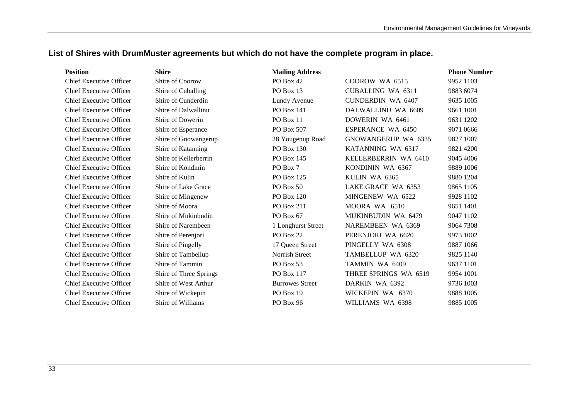## **List of Shires with DrumMuster agreements but which do not have the complete program in place.**

| <b>Position</b>                | <b>Shire</b>           | <b>Mailing Address</b> |                          | <b>Phone Number</b> |
|--------------------------------|------------------------|------------------------|--------------------------|---------------------|
| <b>Chief Executive Officer</b> | Shire of Coorow        | PO Box 42              | COOROW WA 6515           | 9952 1103           |
| Chief Executive Officer        | Shire of Cuballing     | PO Box 13              | <b>CUBALLING WA 6311</b> | 9883 6074           |
| Chief Executive Officer        | Shire of Cunderdin     | Lundy Avenue           | <b>CUNDERDIN WA 6407</b> | 9635 1005           |
| Chief Executive Officer        | Shire of Dalwallinu    | PO Box 141             | DALWALLINU WA 6609       | 9661 1001           |
| <b>Chief Executive Officer</b> | Shire of Dowerin       | PO Box 11              | DOWERIN WA 6461          | 9631 1202           |
| <b>Chief Executive Officer</b> | Shire of Esperance     | PO Box 507             | <b>ESPERANCE WA 6450</b> | 9071 0666           |
| Chief Executive Officer        | Shire of Gnowangerup   | 28 Yougenup Road       | GNOWANGERUP WA 6335      | 9827 1007           |
| <b>Chief Executive Officer</b> | Shire of Katanning     | PO Box 130             | KATANNING WA 6317        | 9821 4200           |
| <b>Chief Executive Officer</b> | Shire of Kellerberrin  | PO Box 145             | KELLERBERRIN WA 6410     | 9045 4006           |
| Chief Executive Officer        | Shire of Kondinin      | PO Box 7               | KONDININ WA 6367         | 9889 1006           |
| <b>Chief Executive Officer</b> | Shire of Kulin         | <b>PO Box 125</b>      | KULIN WA 6365            | 9880 1204           |
| <b>Chief Executive Officer</b> | Shire of Lake Grace    | PO Box 50              | LAKE GRACE WA 6353       | 9865 1105           |
| <b>Chief Executive Officer</b> | Shire of Mingenew      | PO Box 120             | MINGENEW WA 6522         | 9928 1102           |
| Chief Executive Officer        | Shire of Moora         | <b>PO</b> Box 211      | MOORA WA 6510            | 9651 1401           |
| <b>Chief Executive Officer</b> | Shire of Mukinbudin    | PO Box 67              | MUKINBUDIN WA 6479       | 9047 1102           |
| <b>Chief Executive Officer</b> | Shire of Narembeen     | 1 Longhurst Street     | NAREMBEEN WA 6369        | 9064 7308           |
| <b>Chief Executive Officer</b> | Shire of Perenjori     | PO Box 22              | PERENJORI WA 6620        | 9973 1002           |
| <b>Chief Executive Officer</b> | Shire of Pingelly      | 17 Queen Street        | PINGELLY WA 6308         | 9887 1066           |
| <b>Chief Executive Officer</b> | Shire of Tambellup     | Norrish Street         | TAMBELLUP WA 6320        | 9825 1140           |
| <b>Chief Executive Officer</b> | Shire of Tammin        | PO Box 53              | TAMMIN WA 6409           | 9637 1101           |
| <b>Chief Executive Officer</b> | Shire of Three Springs | PO Box 117             | THREE SPRINGS WA 6519    | 9954 1001           |
| <b>Chief Executive Officer</b> | Shire of West Arthur   | <b>Burrowes Street</b> | DARKIN WA 6392           | 9736 1003           |
| <b>Chief Executive Officer</b> | Shire of Wickepin      | PO Box 19              | WICKEPIN WA 6370         | 9888 1005           |
| <b>Chief Executive Officer</b> | Shire of Williams      | PO Box 96              | WILLIAMS WA 6398         | 9885 1005           |
|                                |                        |                        |                          |                     |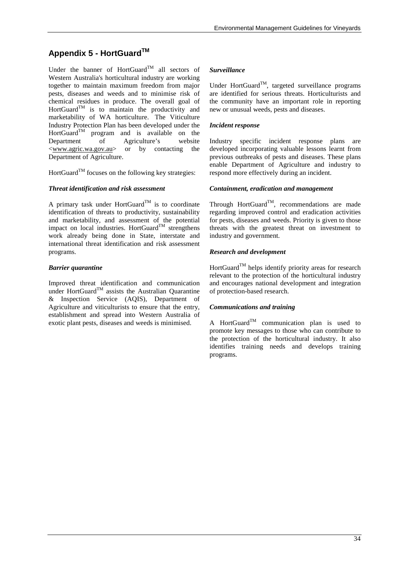## **Appendix 5 - HortGuardTM**

Under the banner of HortGuard<sup>TM</sup> all sectors of Western Australia's horticultural industry are working together to maintain maximum freedom from major pests, diseases and weeds and to minimise risk of chemical residues in produce. The overall goal of  $HortGuard^{TM}$  is to maintain the productivity and marketability of WA horticulture. The Viticulture Industry Protection Plan has been developed under the  $HortGuard^{TM}$  program and is available on the Department of Agriculture's website <www.agric.wa.gov.au> or by contacting the Department of Agriculture.

 $H$ ort $G$ uard<sup>TM</sup> focuses on the following key strategies:

#### *Threat identification and risk assessment*

A primary task under HortGuard<sup>TM</sup> is to coordinate identification of threats to productivity, sustainability and marketability, and assessment of the potential impact on local industries. HortGuard<sup>TM</sup> strengthens work already being done in State, interstate and international threat identification and risk assessment programs.

#### *Barrier quarantine*

Improved threat identification and communication under HortGuard<sup>TM</sup> assists the Australian Quarantine & Inspection Service (AQIS), Department of Agriculture and viticulturists to ensure that the entry, establishment and spread into Western Australia of exotic plant pests, diseases and weeds is minimised.

#### *Surveillance*

Under HortGuard™, targeted surveillance programs are identified for serious threats. Horticulturists and the community have an important role in reporting new or unusual weeds, pests and diseases.

#### *Incident response*

Industry specific incident response plans are developed incorporating valuable lessons learnt from previous outbreaks of pests and diseases. These plans enable Department of Agriculture and industry to respond more effectively during an incident.

#### *Containment, eradication and management*

Through HortGuard<sup>TM</sup>, recommendations are made regarding improved control and eradication activities for pests, diseases and weeds. Priority is given to those threats with the greatest threat on investment to industry and government.

#### *Research and development*

 $H$ ort $G$ uard<sup>TM</sup> helps identify priority areas for research relevant to the protection of the horticultural industry and encourages national development and integration of protection-based research.

#### *Communications and training*

A HortGuard<sup>TM</sup> communication plan is used to promote key messages to those who can contribute to the protection of the horticultural industry. It also identifies training needs and develops training programs.